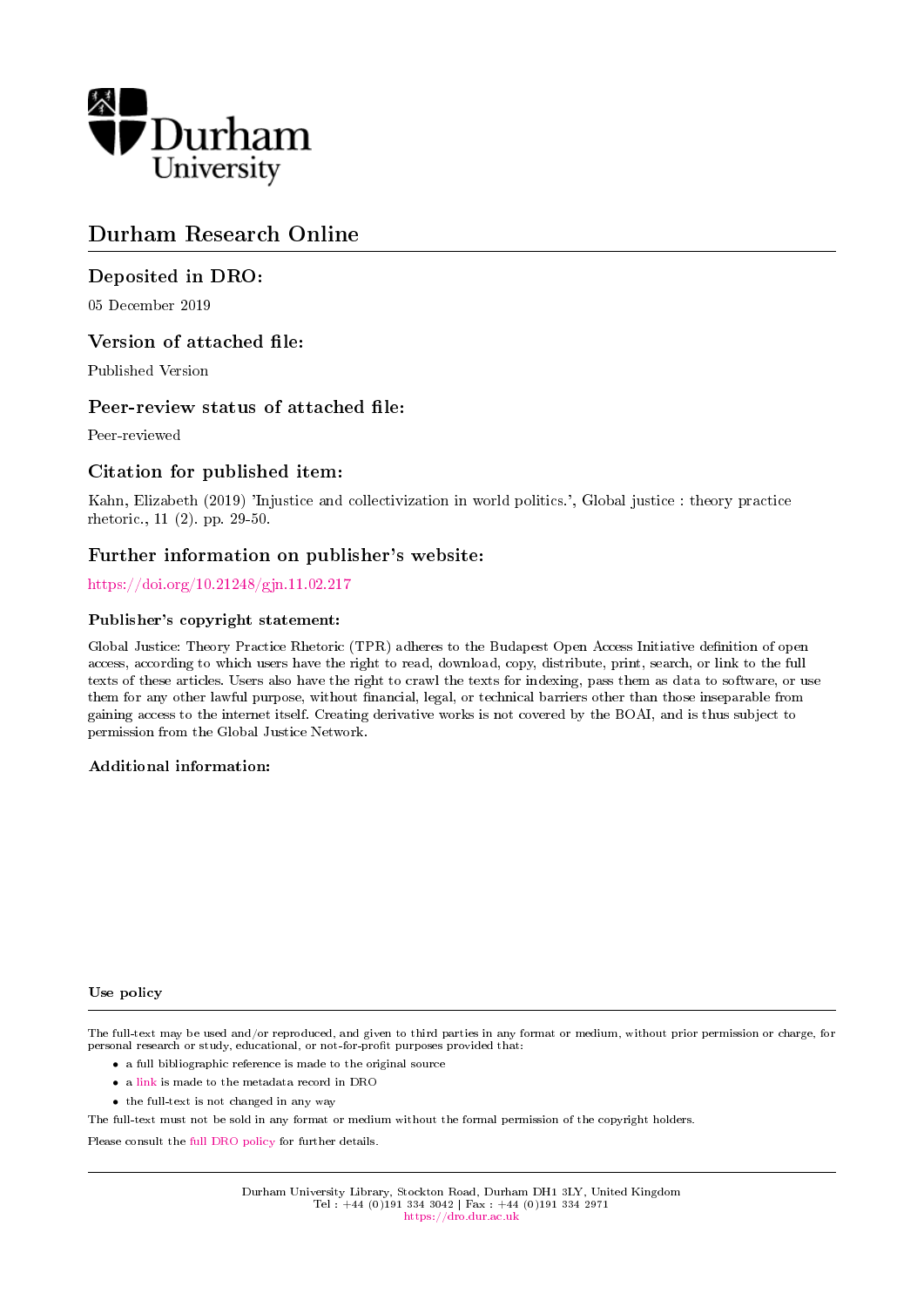

# Durham Research Online

#### Deposited in DRO:

05 December 2019

#### Version of attached file:

Published Version

#### Peer-review status of attached file:

Peer-reviewed

#### Citation for published item:

Kahn, Elizabeth (2019) 'Injustice and collectivization in world politics.', Global justice : theory practice rhetoric., 11 (2). pp. 29-50.

#### Further information on publisher's website:

#### <https://doi.org/10.21248/gjn.11.02.217>

#### Publisher's copyright statement:

Global Justice: Theory Practice Rhetoric (TPR) adheres to the Budapest Open Access Initiative denition of open access, according to which users have the right to read, download, copy, distribute, print, search, or link to the full texts of these articles. Users also have the right to crawl the texts for indexing, pass them as data to software, or use them for any other lawful purpose, without financial, legal, or technical barriers other than those inseparable from gaining access to the internet itself. Creating derivative works is not covered by the BOAI, and is thus subject to permission from the Global Justice Network.

#### Additional information:

#### Use policy

The full-text may be used and/or reproduced, and given to third parties in any format or medium, without prior permission or charge, for personal research or study, educational, or not-for-profit purposes provided that:

- a full bibliographic reference is made to the original source
- a [link](http://dro.dur.ac.uk/29793/) is made to the metadata record in DRO
- the full-text is not changed in any way

The full-text must not be sold in any format or medium without the formal permission of the copyright holders.

Please consult the [full DRO policy](https://dro.dur.ac.uk/policies/usepolicy.pdf) for further details.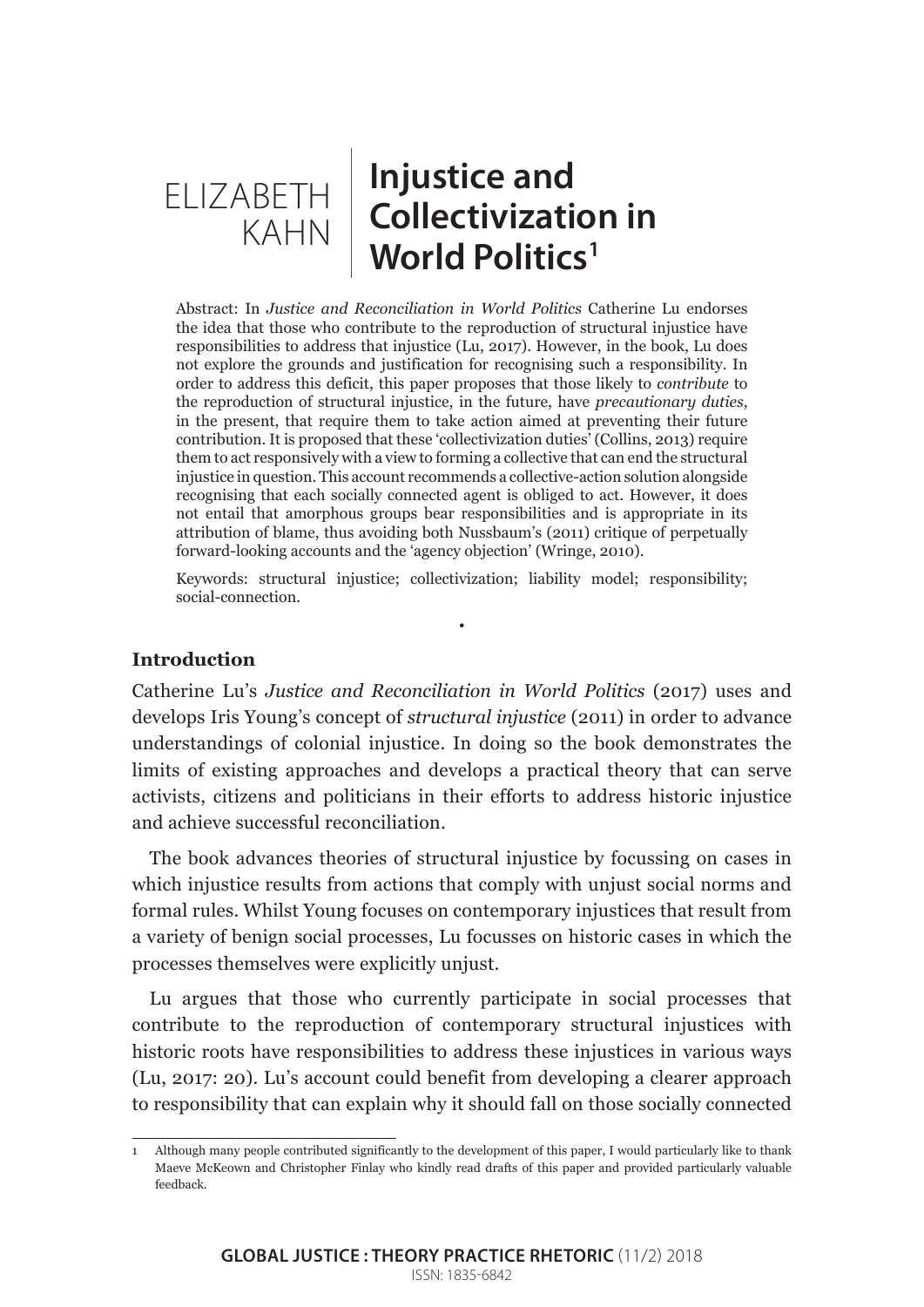# **Injustice and Collectivization in World Politics1** ELIZABETH KAHN

Abstract: In *Justice and Reconciliation in World Politics* Catherine Lu endorses the idea that those who contribute to the reproduction of structural injustice have responsibilities to address that injustice (Lu, 2017). However, in the book, Lu does not explore the grounds and justification for recognising such a responsibility. In order to address this deficit, this paper proposes that those likely to *contribute* to the reproduction of structural injustice, in the future, have *precautionary duties*, in the present, that require them to take action aimed at preventing their future contribution. It is proposed that these 'collectivization duties' (Collins, 2013) require them to act responsively with a view to forming a collective that can end the structural injustice in question. This account recommends a collective-action solution alongside recognising that each socially connected agent is obliged to act. However, it does not entail that amorphous groups bear responsibilities and is appropriate in its attribution of blame, thus avoiding both Nussbaum's (2011) critique of perpetually forward-looking accounts and the 'agency objection' (Wringe, 2010).

Keywords: structural injustice; collectivization; liability model; responsibility; social-connection.

•

# **Introduction**

Catherine Lu's *Justice and Reconciliation in World Politics* (2017) uses and develops Iris Young's concept of *structural injustice* (2011) in order to advance understandings of colonial injustice. In doing so the book demonstrates the limits of existing approaches and develops a practical theory that can serve activists, citizens and politicians in their efforts to address historic injustice and achieve successful reconciliation.

The book advances theories of structural injustice by focussing on cases in which injustice results from actions that comply with unjust social norms and formal rules. Whilst Young focuses on contemporary injustices that result from a variety of benign social processes, Lu focusses on historic cases in which the processes themselves were explicitly unjust.

Lu argues that those who currently participate in social processes that contribute to the reproduction of contemporary structural injustices with historic roots have responsibilities to address these injustices in various ways (Lu, 2017: 20). Lu's account could benefit from developing a clearer approach to responsibility that can explain why it should fall on those socially connected

<sup>1</sup> Although many people contributed significantly to the development of this paper, I would particularly like to thank Maeve McKeown and Christopher Finlay who kindly read drafts of this paper and provided particularly valuable feedback.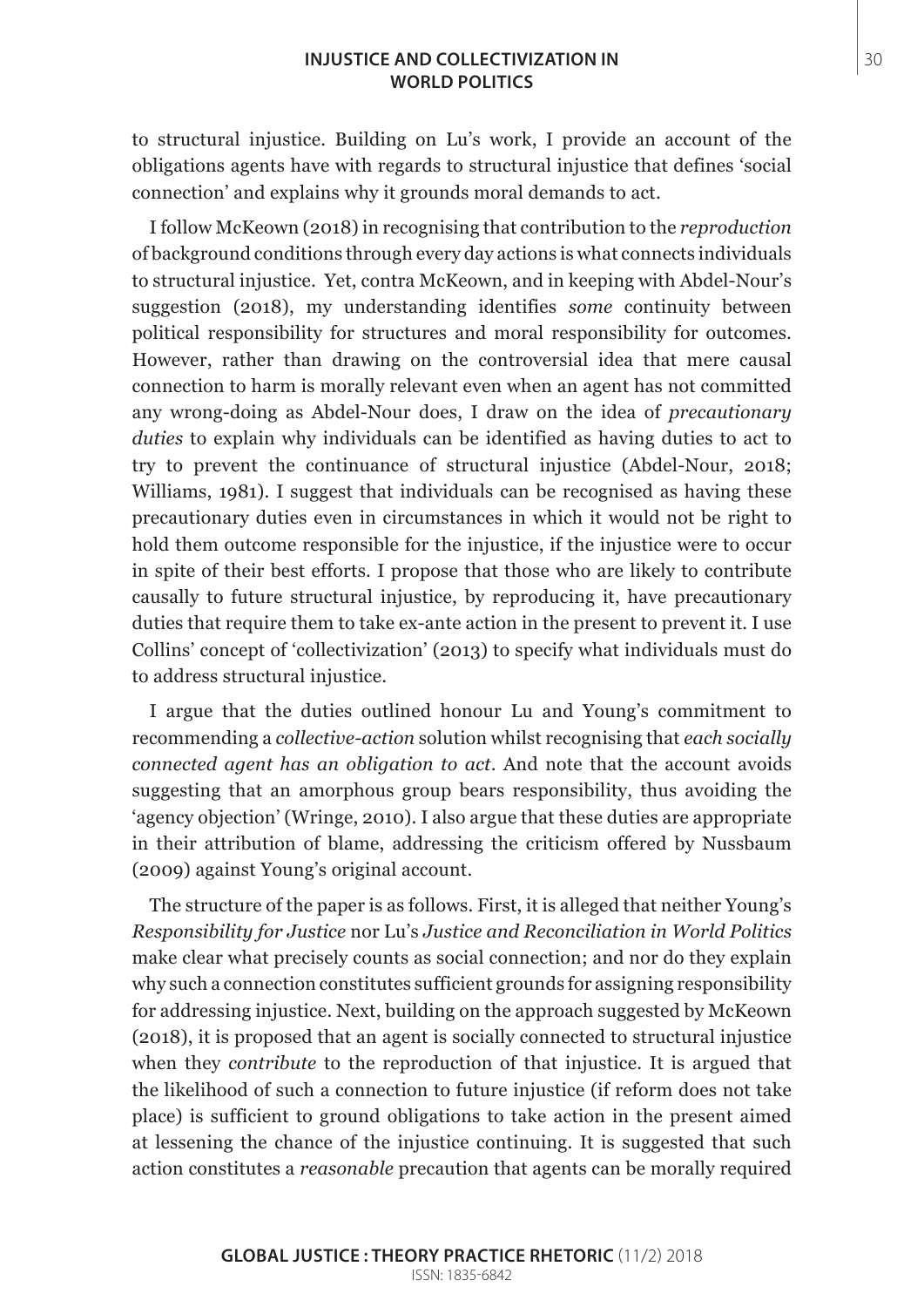#### **INJUSTICE AND COLLECTIVIZATION IN** 30 **WORLD POLITICS**

to structural injustice. Building on Lu's work, I provide an account of the obligations agents have with regards to structural injustice that defines 'social connection' and explains why it grounds moral demands to act.

I follow McKeown (2018) in recognising that contribution to the *reproduction* of background conditions through every day actions is what connects individuals to structural injustice. Yet, contra McKeown, and in keeping with Abdel-Nour's suggestion (2018), my understanding identifies *some* continuity between political responsibility for structures and moral responsibility for outcomes. However, rather than drawing on the controversial idea that mere causal connection to harm is morally relevant even when an agent has not committed any wrong-doing as Abdel-Nour does, I draw on the idea of *precautionary duties* to explain why individuals can be identified as having duties to act to try to prevent the continuance of structural injustice (Abdel-Nour, 2018; Williams, 1981). I suggest that individuals can be recognised as having these precautionary duties even in circumstances in which it would not be right to hold them outcome responsible for the injustice, if the injustice were to occur in spite of their best efforts. I propose that those who are likely to contribute causally to future structural injustice, by reproducing it, have precautionary duties that require them to take ex-ante action in the present to prevent it. I use Collins' concept of 'collectivization' (2013) to specify what individuals must do to address structural injustice.

I argue that the duties outlined honour Lu and Young's commitment to recommending a *collective-action* solution whilst recognising that *each socially connected agent has an obligation to act*. And note that the account avoids suggesting that an amorphous group bears responsibility, thus avoiding the 'agency objection' (Wringe, 2010). I also argue that these duties are appropriate in their attribution of blame, addressing the criticism offered by Nussbaum (2009) against Young's original account.

The structure of the paper is as follows. First, it is alleged that neither Young's *Responsibility for Justice* nor Lu's *Justice and Reconciliation in World Politics* make clear what precisely counts as social connection; and nor do they explain why such a connection constitutes sufficient grounds for assigning responsibility for addressing injustice. Next, building on the approach suggested by McKeown (2018), it is proposed that an agent is socially connected to structural injustice when they *contribute* to the reproduction of that injustice. It is argued that the likelihood of such a connection to future injustice (if reform does not take place) is sufficient to ground obligations to take action in the present aimed at lessening the chance of the injustice continuing. It is suggested that such action constitutes a *reasonable* precaution that agents can be morally required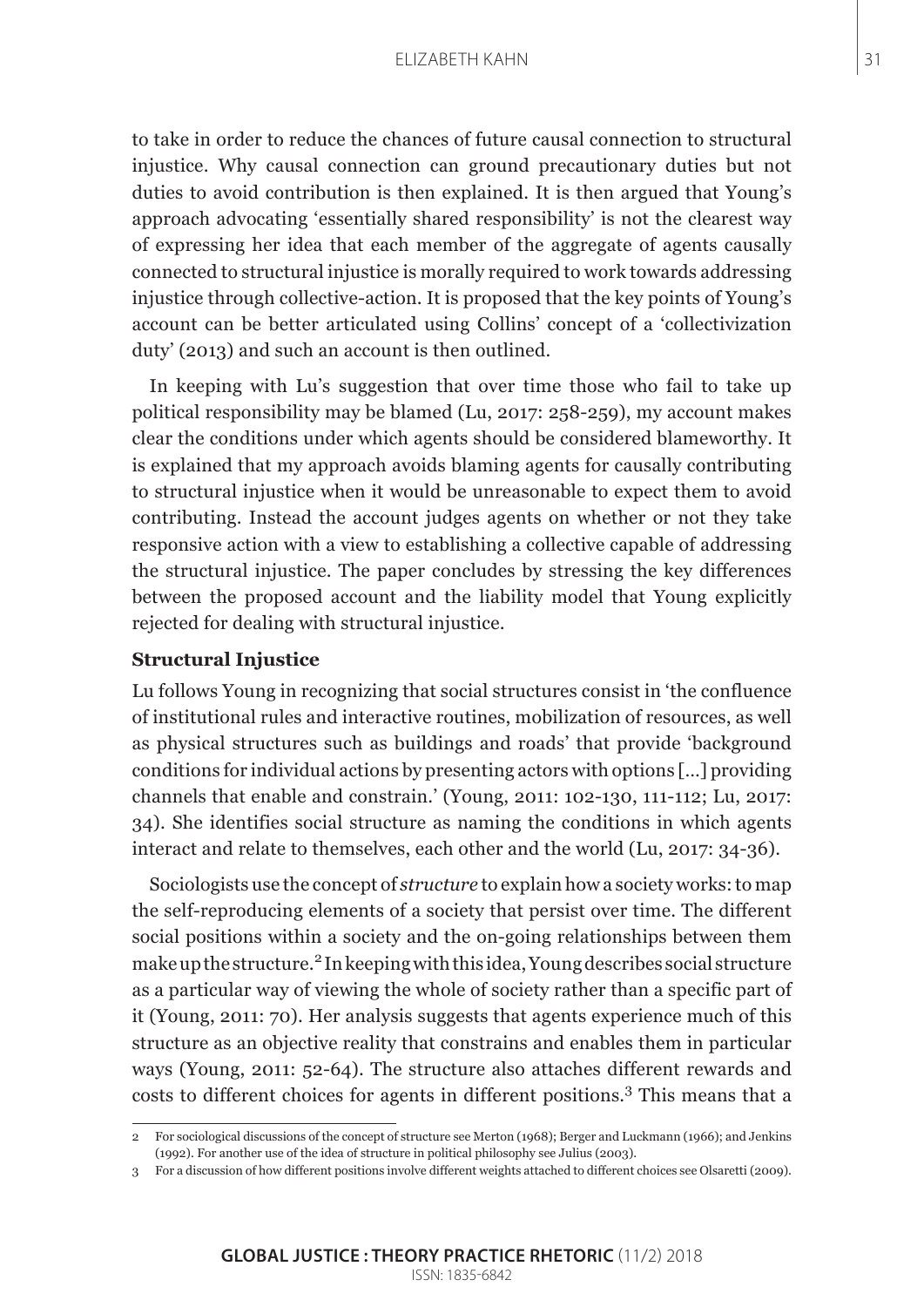#### ELIZABETH KAHN 31

to take in order to reduce the chances of future causal connection to structural injustice. Why causal connection can ground precautionary duties but not duties to avoid contribution is then explained. It is then argued that Young's approach advocating 'essentially shared responsibility' is not the clearest way of expressing her idea that each member of the aggregate of agents causally connected to structural injustice is morally required to work towards addressing injustice through collective-action. It is proposed that the key points of Young's account can be better articulated using Collins' concept of a 'collectivization duty' (2013) and such an account is then outlined.

In keeping with Lu's suggestion that over time those who fail to take up political responsibility may be blamed (Lu, 2017: 258-259), my account makes clear the conditions under which agents should be considered blameworthy. It is explained that my approach avoids blaming agents for causally contributing to structural injustice when it would be unreasonable to expect them to avoid contributing. Instead the account judges agents on whether or not they take responsive action with a view to establishing a collective capable of addressing the structural injustice. The paper concludes by stressing the key differences between the proposed account and the liability model that Young explicitly rejected for dealing with structural injustice.

## **Structural Injustice**

Lu follows Young in recognizing that social structures consist in 'the confluence of institutional rules and interactive routines, mobilization of resources, as well as physical structures such as buildings and roads' that provide 'background conditions for individual actions by presenting actors with options […] providing channels that enable and constrain.' (Young, 2011: 102-130, 111-112; Lu, 2017: 34). She identifies social structure as naming the conditions in which agents interact and relate to themselves, each other and the world (Lu, 2017: 34-36).

Sociologists use the concept of *structure* to explain how a society works: to map the self-reproducing elements of a society that persist over time. The different social positions within a society and the on-going relationships between them make up the structure.<sup>2</sup> In keeping with this idea, Young describes social structure as a particular way of viewing the whole of society rather than a specific part of it (Young, 2011: 70). Her analysis suggests that agents experience much of this structure as an objective reality that constrains and enables them in particular ways (Young, 2011: 52-64). The structure also attaches different rewards and costs to different choices for agents in different positions.<sup>3</sup> This means that a

<sup>2</sup> For sociological discussions of the concept of structure see Merton (1968); Berger and Luckmann (1966); and Jenkins (1992). For another use of the idea of structure in political philosophy see Julius (2003).

<sup>3</sup> For a discussion of how different positions involve different weights attached to different choices see Olsaretti (2009).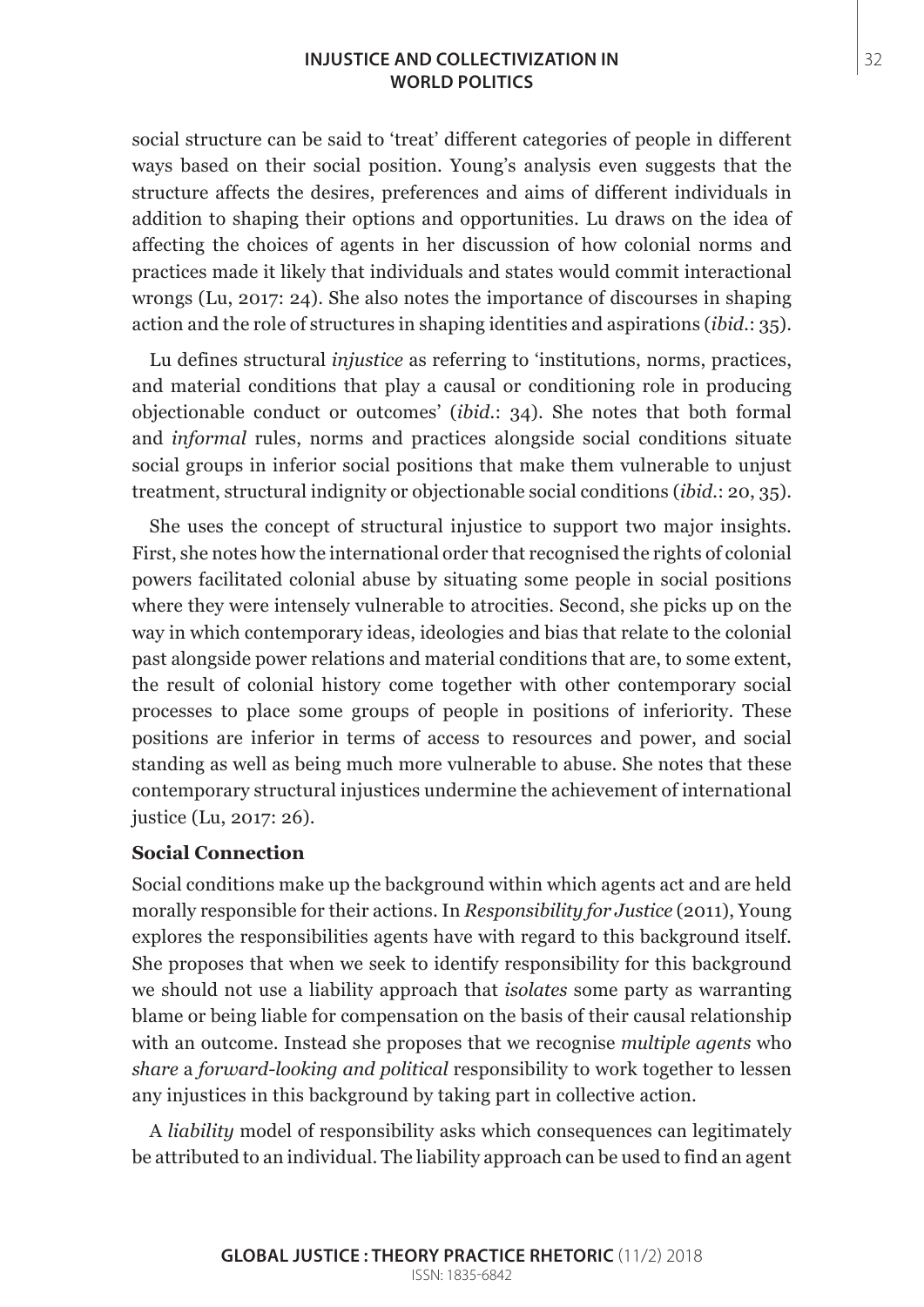## **INJUSTICE AND COLLECTIVIZATION IN** 32 **WORLD POLITICS**

social structure can be said to 'treat' different categories of people in different ways based on their social position. Young's analysis even suggests that the structure affects the desires, preferences and aims of different individuals in addition to shaping their options and opportunities. Lu draws on the idea of affecting the choices of agents in her discussion of how colonial norms and practices made it likely that individuals and states would commit interactional wrongs (Lu, 2017: 24). She also notes the importance of discourses in shaping action and the role of structures in shaping identities and aspirations (*ibid.*: 35).

Lu defines structural *injustice* as referring to 'institutions, norms, practices, and material conditions that play a causal or conditioning role in producing objectionable conduct or outcomes' (*ibid.*: 34). She notes that both formal and *informal* rules, norms and practices alongside social conditions situate social groups in inferior social positions that make them vulnerable to unjust treatment, structural indignity or objectionable social conditions (*ibid.*: 20, 35).

She uses the concept of structural injustice to support two major insights. First, she notes how the international order that recognised the rights of colonial powers facilitated colonial abuse by situating some people in social positions where they were intensely vulnerable to atrocities. Second, she picks up on the way in which contemporary ideas, ideologies and bias that relate to the colonial past alongside power relations and material conditions that are, to some extent, the result of colonial history come together with other contemporary social processes to place some groups of people in positions of inferiority. These positions are inferior in terms of access to resources and power, and social standing as well as being much more vulnerable to abuse. She notes that these contemporary structural injustices undermine the achievement of international justice (Lu, 2017: 26).

#### **Social Connection**

Social conditions make up the background within which agents act and are held morally responsible for their actions. In *Responsibility for Justice* (2011), Young explores the responsibilities agents have with regard to this background itself. She proposes that when we seek to identify responsibility for this background we should not use a liability approach that *isolates* some party as warranting blame or being liable for compensation on the basis of their causal relationship with an outcome. Instead she proposes that we recognise *multiple agents* who *share* a *forward-looking and political* responsibility to work together to lessen any injustices in this background by taking part in collective action.

A *liability* model of responsibility asks which consequences can legitimately be attributed to an individual. The liability approach can be used to find an agent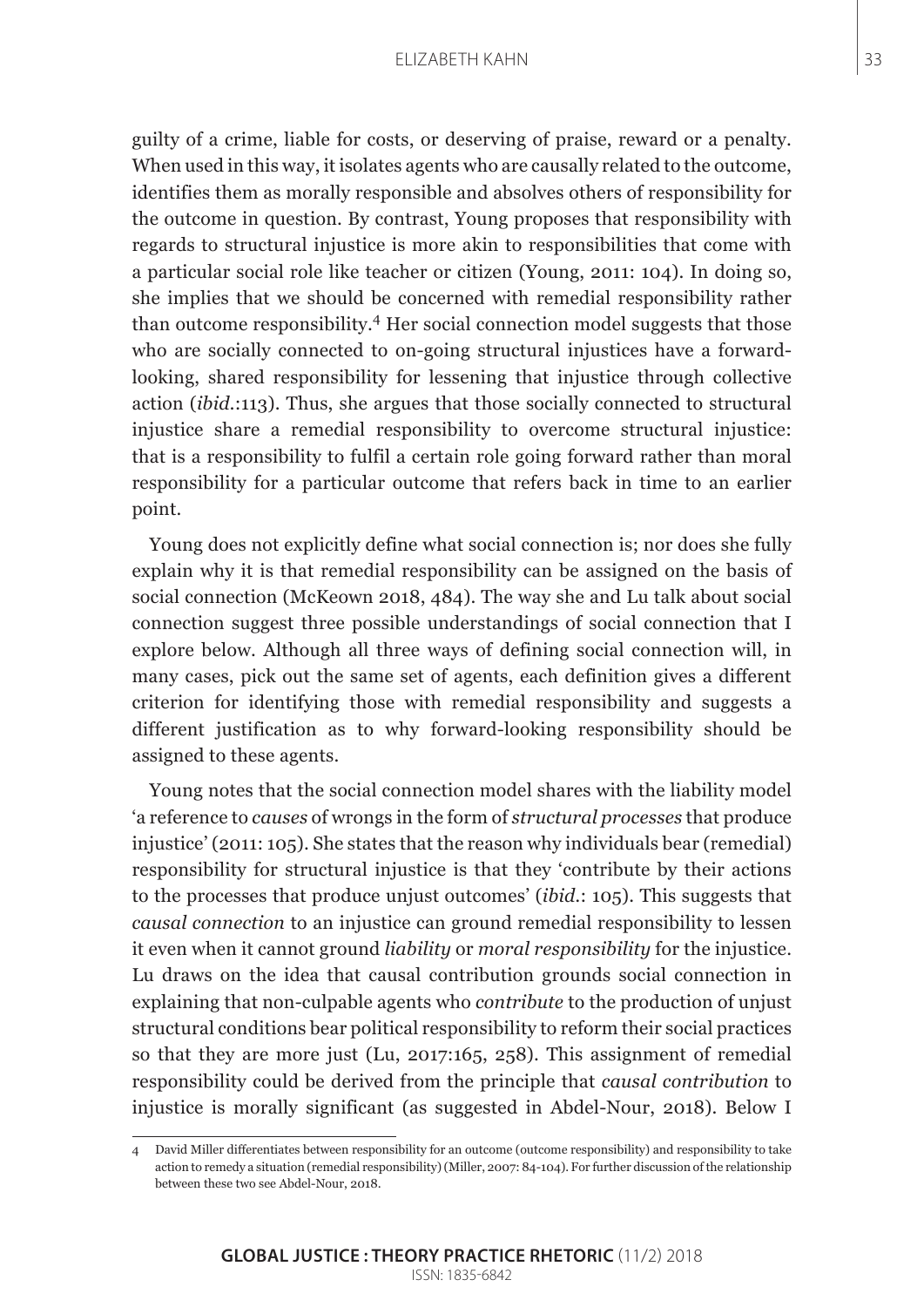guilty of a crime, liable for costs, or deserving of praise, reward or a penalty. When used in this way, it isolates agents who are causally related to the outcome, identifies them as morally responsible and absolves others of responsibility for the outcome in question. By contrast, Young proposes that responsibility with regards to structural injustice is more akin to responsibilities that come with a particular social role like teacher or citizen (Young, 2011: 104). In doing so, she implies that we should be concerned with remedial responsibility rather than outcome responsibility.4 Her social connection model suggests that those who are socially connected to on-going structural injustices have a forwardlooking, shared responsibility for lessening that injustice through collective action (*ibid.*:113). Thus, she argues that those socially connected to structural injustice share a remedial responsibility to overcome structural injustice: that is a responsibility to fulfil a certain role going forward rather than moral responsibility for a particular outcome that refers back in time to an earlier point.

Young does not explicitly define what social connection is; nor does she fully explain why it is that remedial responsibility can be assigned on the basis of social connection (McKeown 2018, 484). The way she and Lu talk about social connection suggest three possible understandings of social connection that I explore below. Although all three ways of defining social connection will, in many cases, pick out the same set of agents, each definition gives a different criterion for identifying those with remedial responsibility and suggests a different justification as to why forward-looking responsibility should be assigned to these agents.

Young notes that the social connection model shares with the liability model 'a reference to *causes* of wrongs in the form of *structural processes* that produce injustice' (2011: 105). She states that the reason why individuals bear (remedial) responsibility for structural injustice is that they 'contribute by their actions to the processes that produce unjust outcomes' (*ibid.*: 105). This suggests that *causal connection* to an injustice can ground remedial responsibility to lessen it even when it cannot ground *liability* or *moral responsibility* for the injustice. Lu draws on the idea that causal contribution grounds social connection in explaining that non-culpable agents who *contribute* to the production of unjust structural conditions bear political responsibility to reform their social practices so that they are more just (Lu, 2017:165, 258). This assignment of remedial responsibility could be derived from the principle that *causal contribution* to injustice is morally significant (as suggested in Abdel-Nour, 2018). Below I

<sup>4</sup> David Miller differentiates between responsibility for an outcome (outcome responsibility) and responsibility to take action to remedy a situation (remedial responsibility) (Miller, 2007: 84-104). For further discussion of the relationship between these two see Abdel-Nour, 2018.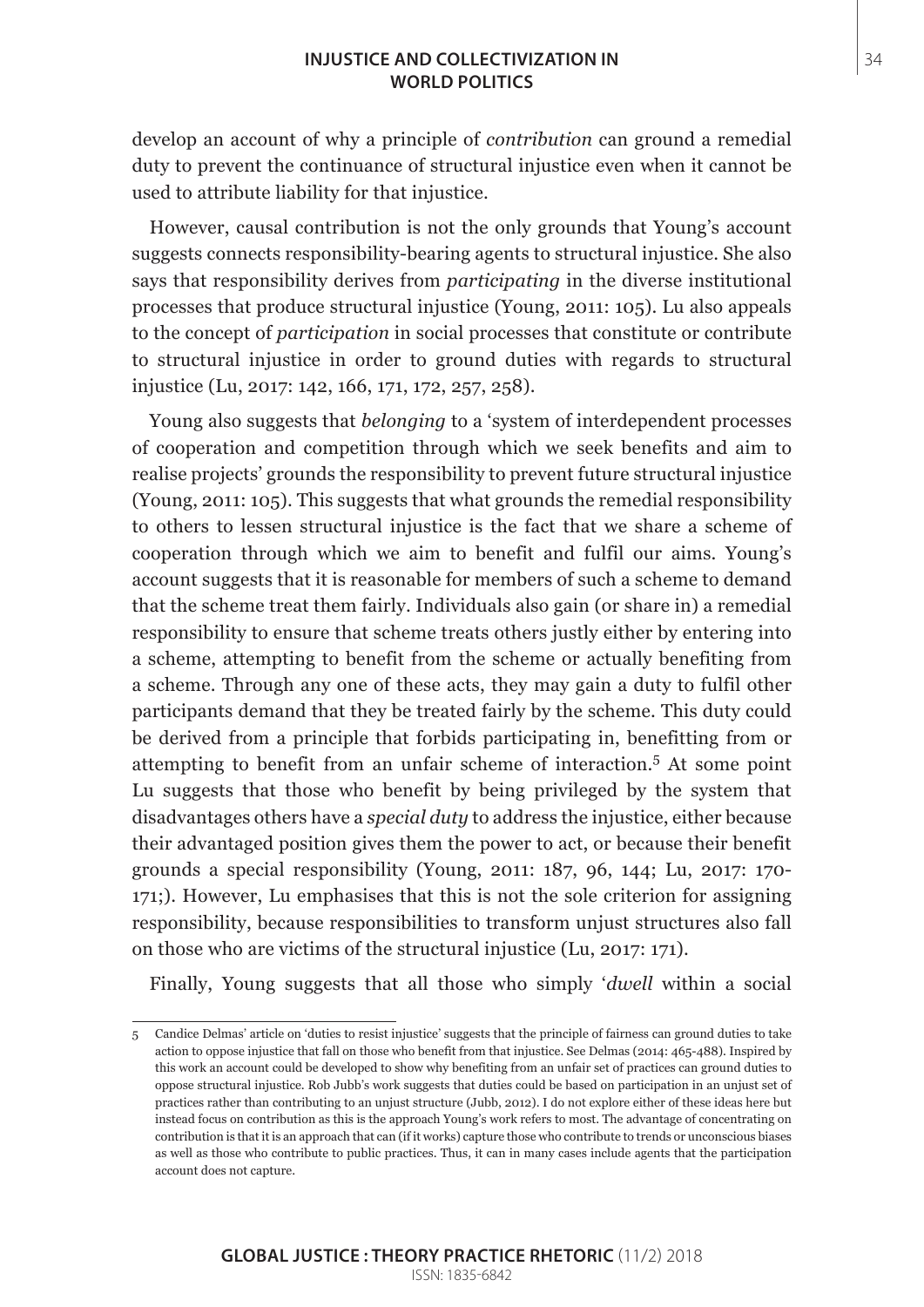## **INJUSTICE AND COLLECTIVIZATION IN** 34 **WORLD POLITICS**

develop an account of why a principle of *contribution* can ground a remedial duty to prevent the continuance of structural injustice even when it cannot be used to attribute liability for that injustice.

However, causal contribution is not the only grounds that Young's account suggests connects responsibility-bearing agents to structural injustice. She also says that responsibility derives from *participating* in the diverse institutional processes that produce structural injustice (Young, 2011: 105). Lu also appeals to the concept of *participation* in social processes that constitute or contribute to structural injustice in order to ground duties with regards to structural injustice (Lu, 2017: 142, 166, 171, 172, 257, 258).

Young also suggests that *belonging* to a 'system of interdependent processes of cooperation and competition through which we seek benefits and aim to realise projects' grounds the responsibility to prevent future structural injustice (Young, 2011: 105). This suggests that what grounds the remedial responsibility to others to lessen structural injustice is the fact that we share a scheme of cooperation through which we aim to benefit and fulfil our aims. Young's account suggests that it is reasonable for members of such a scheme to demand that the scheme treat them fairly. Individuals also gain (or share in) a remedial responsibility to ensure that scheme treats others justly either by entering into a scheme, attempting to benefit from the scheme or actually benefiting from a scheme. Through any one of these acts, they may gain a duty to fulfil other participants demand that they be treated fairly by the scheme. This duty could be derived from a principle that forbids participating in, benefitting from or attempting to benefit from an unfair scheme of interaction.<sup>5</sup> At some point Lu suggests that those who benefit by being privileged by the system that disadvantages others have a *special duty* to address the injustice, either because their advantaged position gives them the power to act, or because their benefit grounds a special responsibility (Young, 2011: 187, 96, 144; Lu, 2017: 170- 171;). However, Lu emphasises that this is not the sole criterion for assigning responsibility, because responsibilities to transform unjust structures also fall on those who are victims of the structural injustice (Lu, 2017: 171).

Finally, Young suggests that all those who simply '*dwell* within a social

<sup>5</sup> Candice Delmas' article on 'duties to resist injustice' suggests that the principle of fairness can ground duties to take action to oppose injustice that fall on those who benefit from that injustice. See Delmas (2014: 465-488). Inspired by this work an account could be developed to show why benefiting from an unfair set of practices can ground duties to oppose structural injustice. Rob Jubb's work suggests that duties could be based on participation in an unjust set of practices rather than contributing to an unjust structure (Jubb, 2012). I do not explore either of these ideas here but instead focus on contribution as this is the approach Young's work refers to most. The advantage of concentrating on contribution is that it is an approach that can (if it works) capture those who contribute to trends or unconscious biases as well as those who contribute to public practices. Thus, it can in many cases include agents that the participation account does not capture.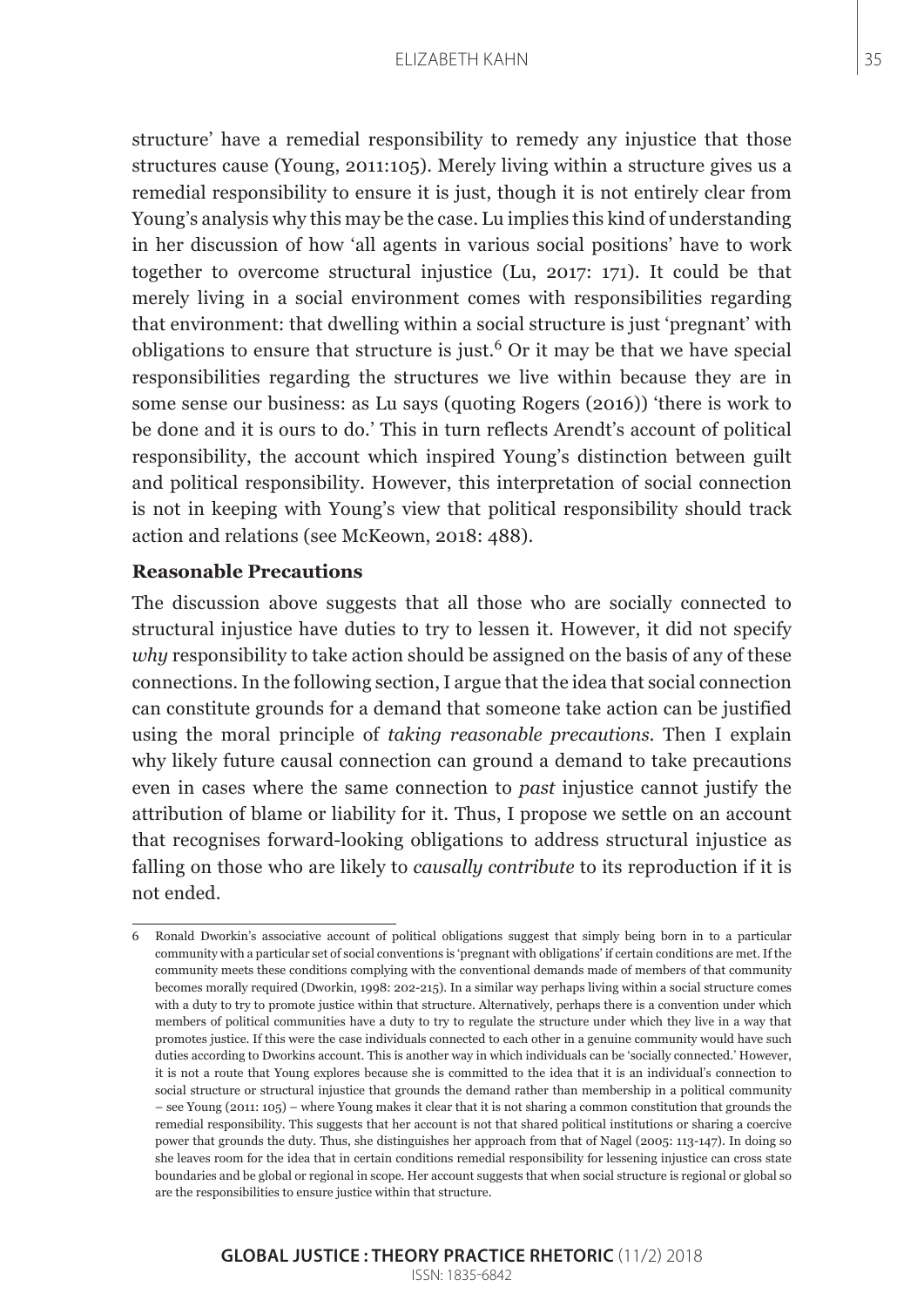structure' have a remedial responsibility to remedy any injustice that those structures cause (Young, 2011:105). Merely living within a structure gives us a remedial responsibility to ensure it is just, though it is not entirely clear from Young's analysis why this may be the case. Lu implies this kind of understanding in her discussion of how 'all agents in various social positions' have to work together to overcome structural injustice (Lu, 2017: 171). It could be that merely living in a social environment comes with responsibilities regarding that environment: that dwelling within a social structure is just 'pregnant' with obligations to ensure that structure is just.<sup>6</sup> Or it may be that we have special responsibilities regarding the structures we live within because they are in some sense our business: as Lu says (quoting Rogers (2016)) 'there is work to be done and it is ours to do.' This in turn reflects Arendt's account of political responsibility, the account which inspired Young's distinction between guilt and political responsibility. However, this interpretation of social connection is not in keeping with Young's view that political responsibility should track action and relations (see McKeown, 2018: 488).

### **Reasonable Precautions**

The discussion above suggests that all those who are socially connected to structural injustice have duties to try to lessen it. However, it did not specify *why* responsibility to take action should be assigned on the basis of any of these connections. In the following section, I argue that the idea that social connection can constitute grounds for a demand that someone take action can be justified using the moral principle of *taking reasonable precautions*. Then I explain why likely future causal connection can ground a demand to take precautions even in cases where the same connection to *past* injustice cannot justify the attribution of blame or liability for it. Thus, I propose we settle on an account that recognises forward-looking obligations to address structural injustice as falling on those who are likely to *causally contribute* to its reproduction if it is not ended.

<sup>6</sup> Ronald Dworkin's associative account of political obligations suggest that simply being born in to a particular community with a particular set of social conventions is 'pregnant with obligations' if certain conditions are met. If the community meets these conditions complying with the conventional demands made of members of that community becomes morally required (Dworkin, 1998: 202-215). In a similar way perhaps living within a social structure comes with a duty to try to promote justice within that structure. Alternatively, perhaps there is a convention under which members of political communities have a duty to try to regulate the structure under which they live in a way that promotes justice. If this were the case individuals connected to each other in a genuine community would have such duties according to Dworkins account. This is another way in which individuals can be 'socially connected.' However, it is not a route that Young explores because she is committed to the idea that it is an individual's connection to social structure or structural injustice that grounds the demand rather than membership in a political community – see Young (2011: 105) – where Young makes it clear that it is not sharing a common constitution that grounds the remedial responsibility. This suggests that her account is not that shared political institutions or sharing a coercive power that grounds the duty. Thus, she distinguishes her approach from that of Nagel (2005: 113-147). In doing so she leaves room for the idea that in certain conditions remedial responsibility for lessening injustice can cross state boundaries and be global or regional in scope. Her account suggests that when social structure is regional or global so are the responsibilities to ensure justice within that structure.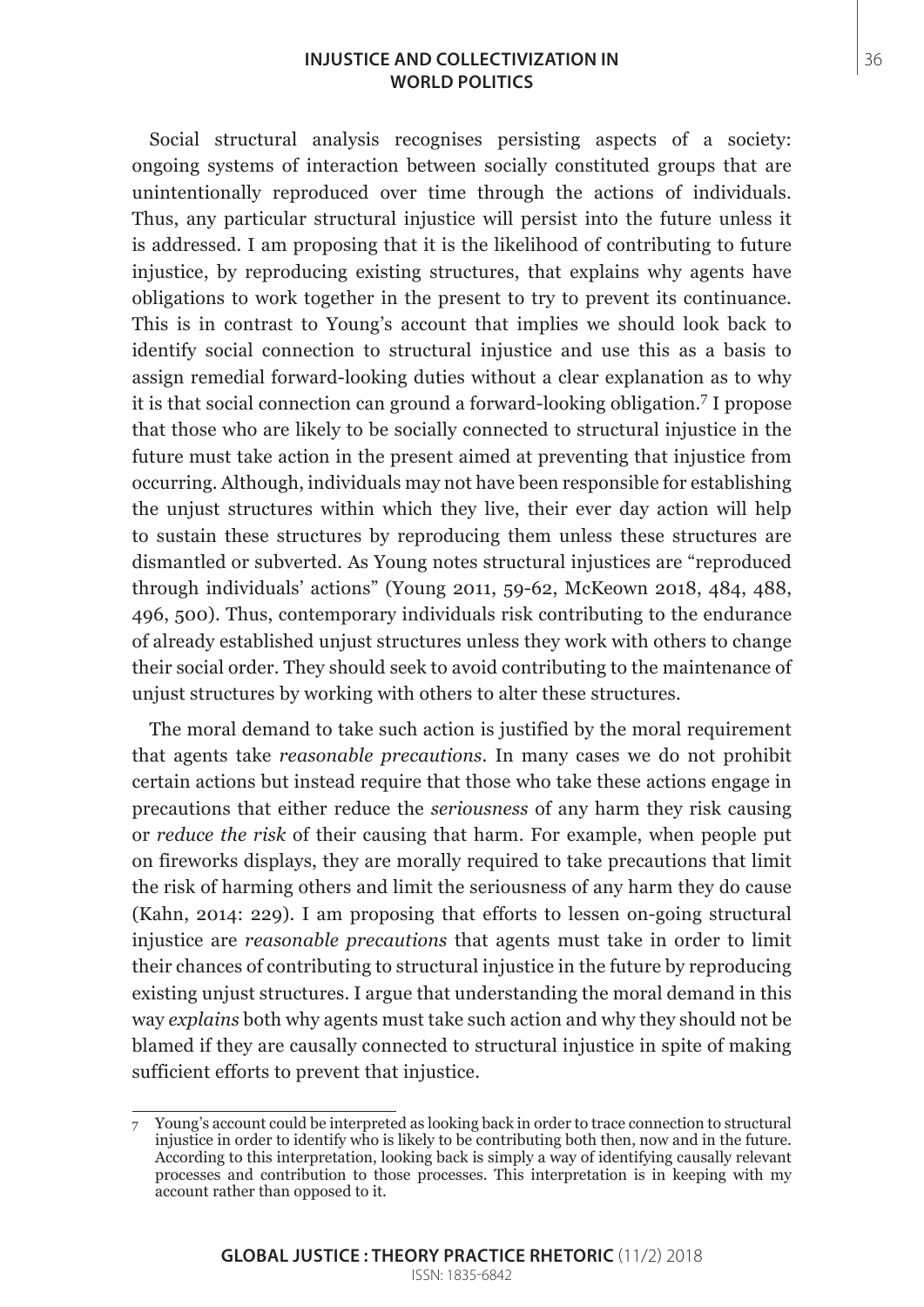## **INJUSTICE AND COLLECTIVIZATION IN** 36 **WORLD POLITICS**

Social structural analysis recognises persisting aspects of a society: ongoing systems of interaction between socially constituted groups that are unintentionally reproduced over time through the actions of individuals. Thus, any particular structural injustice will persist into the future unless it is addressed. I am proposing that it is the likelihood of contributing to future injustice, by reproducing existing structures, that explains why agents have obligations to work together in the present to try to prevent its continuance. This is in contrast to Young's account that implies we should look back to identify social connection to structural injustice and use this as a basis to assign remedial forward-looking duties without a clear explanation as to why it is that social connection can ground a forward-looking obligation.<sup>7</sup> I propose that those who are likely to be socially connected to structural injustice in the future must take action in the present aimed at preventing that injustice from occurring. Although, individuals may not have been responsible for establishing the unjust structures within which they live, their ever day action will help to sustain these structures by reproducing them unless these structures are dismantled or subverted. As Young notes structural injustices are "reproduced through individuals' actions" (Young 2011, 59-62, McKeown 2018, 484, 488, 496, 500). Thus, contemporary individuals risk contributing to the endurance of already established unjust structures unless they work with others to change their social order. They should seek to avoid contributing to the maintenance of unjust structures by working with others to alter these structures.

The moral demand to take such action is justified by the moral requirement that agents take *reasonable precautions*. In many cases we do not prohibit certain actions but instead require that those who take these actions engage in precautions that either reduce the *seriousness* of any harm they risk causing or *reduce the risk* of their causing that harm. For example, when people put on fireworks displays, they are morally required to take precautions that limit the risk of harming others and limit the seriousness of any harm they do cause (Kahn, 2014: 229). I am proposing that efforts to lessen on-going structural injustice are *reasonable precautions* that agents must take in order to limit their chances of contributing to structural injustice in the future by reproducing existing unjust structures. I argue that understanding the moral demand in this way *explains* both why agents must take such action and why they should not be blamed if they are causally connected to structural injustice in spite of making sufficient efforts to prevent that injustice.

<sup>7</sup> Young's account could be interpreted as looking back in order to trace connection to structural injustice in order to identify who is likely to be contributing both then, now and in the future. According to this interpretation, looking back is simply a way of identifying causally relevant processes and contribution to those processes. This interpretation is in keeping with my account rather than opposed to it.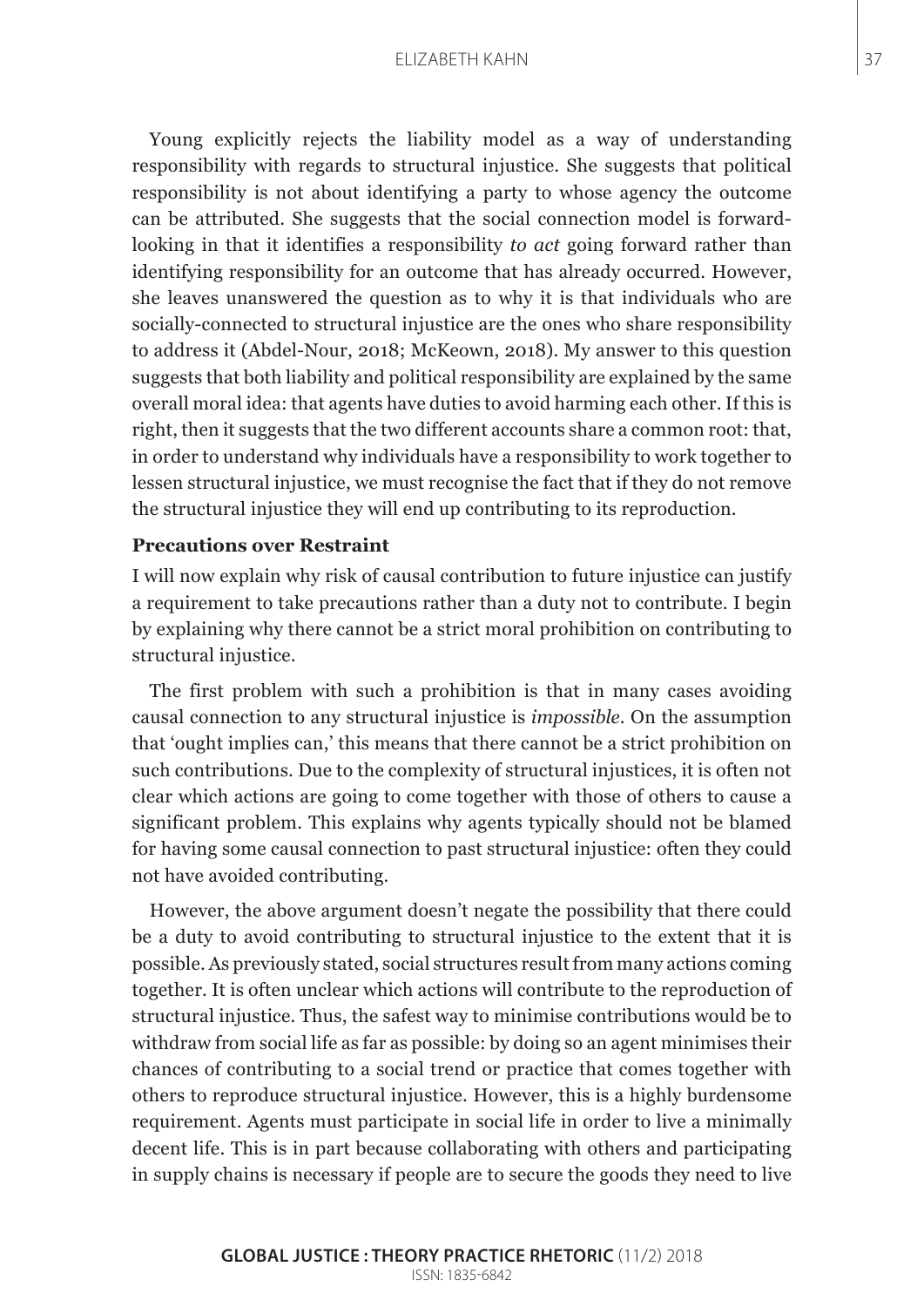Young explicitly rejects the liability model as a way of understanding responsibility with regards to structural injustice. She suggests that political responsibility is not about identifying a party to whose agency the outcome can be attributed. She suggests that the social connection model is forwardlooking in that it identifies a responsibility *to act* going forward rather than identifying responsibility for an outcome that has already occurred. However, she leaves unanswered the question as to why it is that individuals who are socially-connected to structural injustice are the ones who share responsibility to address it (Abdel-Nour, 2018; McKeown, 2018). My answer to this question suggests that both liability and political responsibility are explained by the same overall moral idea: that agents have duties to avoid harming each other. If this is right, then it suggests that the two different accounts share a common root: that, in order to understand why individuals have a responsibility to work together to lessen structural injustice, we must recognise the fact that if they do not remove the structural injustice they will end up contributing to its reproduction.

### **Precautions over Restraint**

I will now explain why risk of causal contribution to future injustice can justify a requirement to take precautions rather than a duty not to contribute. I begin by explaining why there cannot be a strict moral prohibition on contributing to structural injustice.

The first problem with such a prohibition is that in many cases avoiding causal connection to any structural injustice is *impossible*. On the assumption that 'ought implies can,' this means that there cannot be a strict prohibition on such contributions. Due to the complexity of structural injustices, it is often not clear which actions are going to come together with those of others to cause a significant problem. This explains why agents typically should not be blamed for having some causal connection to past structural injustice: often they could not have avoided contributing.

However, the above argument doesn't negate the possibility that there could be a duty to avoid contributing to structural injustice to the extent that it is possible. As previously stated, social structures result from many actions coming together. It is often unclear which actions will contribute to the reproduction of structural injustice. Thus, the safest way to minimise contributions would be to withdraw from social life as far as possible: by doing so an agent minimises their chances of contributing to a social trend or practice that comes together with others to reproduce structural injustice. However, this is a highly burdensome requirement. Agents must participate in social life in order to live a minimally decent life. This is in part because collaborating with others and participating in supply chains is necessary if people are to secure the goods they need to live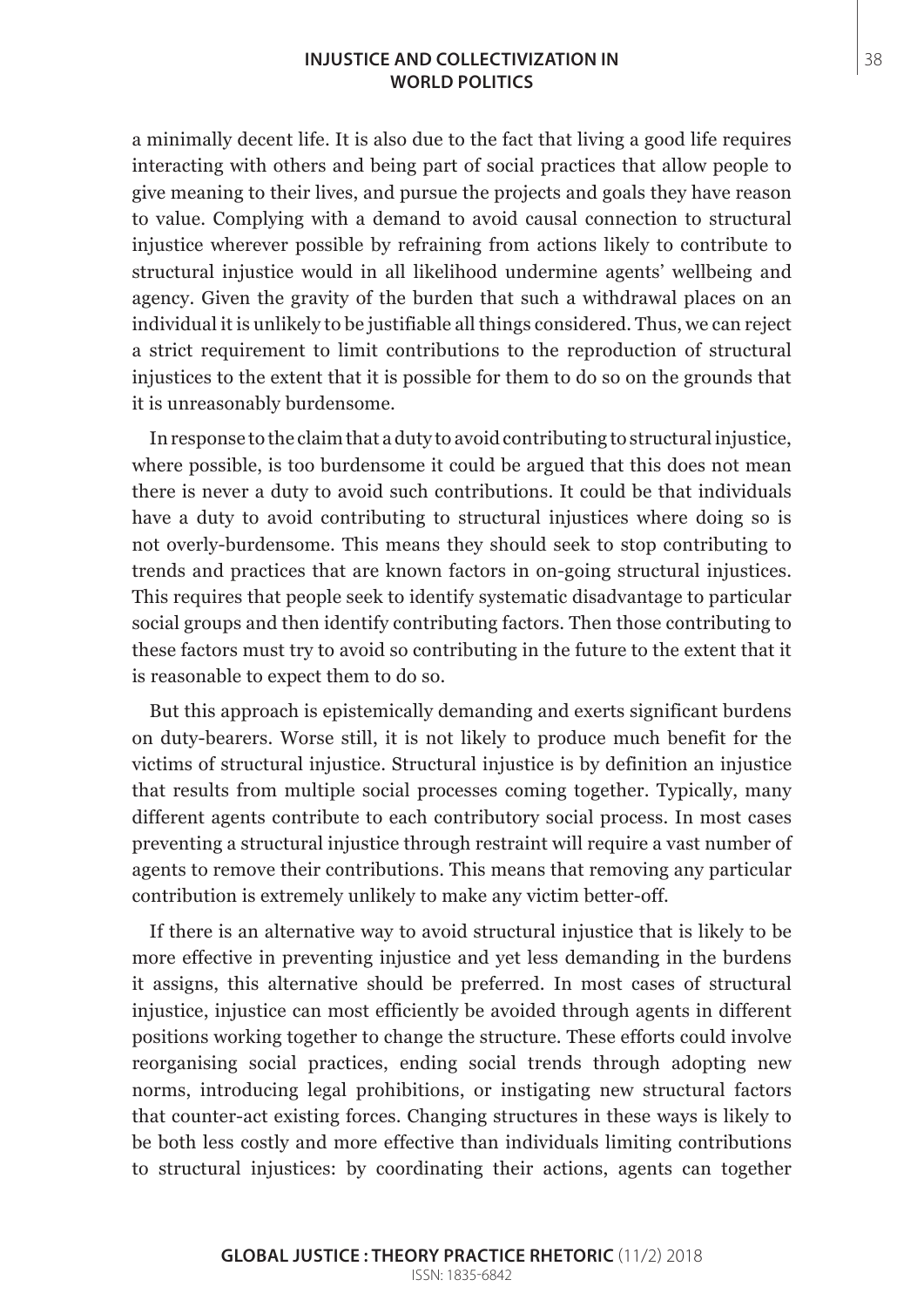## **INJUSTICE AND COLLECTIVIZATION IN** 38 **WORLD POLITICS**

a minimally decent life. It is also due to the fact that living a good life requires interacting with others and being part of social practices that allow people to give meaning to their lives, and pursue the projects and goals they have reason to value. Complying with a demand to avoid causal connection to structural injustice wherever possible by refraining from actions likely to contribute to structural injustice would in all likelihood undermine agents' wellbeing and agency. Given the gravity of the burden that such a withdrawal places on an individual it is unlikely to be justifiable all things considered. Thus, we can reject a strict requirement to limit contributions to the reproduction of structural injustices to the extent that it is possible for them to do so on the grounds that it is unreasonably burdensome.

In response to the claim that a duty to avoid contributing to structural injustice, where possible, is too burdensome it could be argued that this does not mean there is never a duty to avoid such contributions. It could be that individuals have a duty to avoid contributing to structural injustices where doing so is not overly-burdensome. This means they should seek to stop contributing to trends and practices that are known factors in on-going structural injustices. This requires that people seek to identify systematic disadvantage to particular social groups and then identify contributing factors. Then those contributing to these factors must try to avoid so contributing in the future to the extent that it is reasonable to expect them to do so.

But this approach is epistemically demanding and exerts significant burdens on duty-bearers. Worse still, it is not likely to produce much benefit for the victims of structural injustice. Structural injustice is by definition an injustice that results from multiple social processes coming together. Typically, many different agents contribute to each contributory social process. In most cases preventing a structural injustice through restraint will require a vast number of agents to remove their contributions. This means that removing any particular contribution is extremely unlikely to make any victim better-off.

If there is an alternative way to avoid structural injustice that is likely to be more effective in preventing injustice and yet less demanding in the burdens it assigns, this alternative should be preferred. In most cases of structural injustice, injustice can most efficiently be avoided through agents in different positions working together to change the structure. These efforts could involve reorganising social practices, ending social trends through adopting new norms, introducing legal prohibitions, or instigating new structural factors that counter-act existing forces. Changing structures in these ways is likely to be both less costly and more effective than individuals limiting contributions to structural injustices: by coordinating their actions, agents can together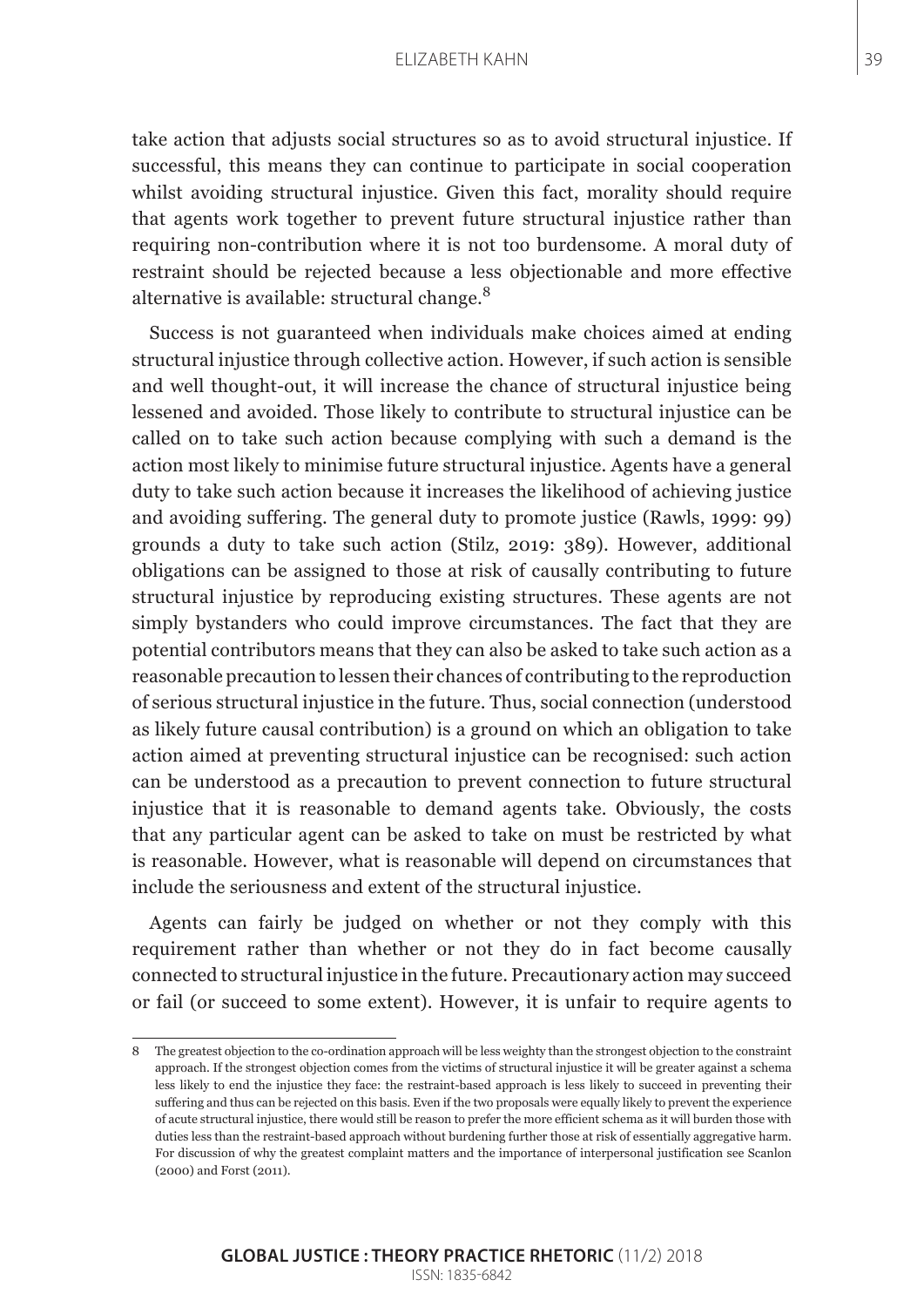#### ELIZABETH KAHN 39

take action that adjusts social structures so as to avoid structural injustice. If successful, this means they can continue to participate in social cooperation whilst avoiding structural injustice. Given this fact, morality should require that agents work together to prevent future structural injustice rather than requiring non-contribution where it is not too burdensome. A moral duty of restraint should be rejected because a less objectionable and more effective alternative is available: structural change.<sup>8</sup>

Success is not guaranteed when individuals make choices aimed at ending structural injustice through collective action. However, if such action is sensible and well thought-out, it will increase the chance of structural injustice being lessened and avoided. Those likely to contribute to structural injustice can be called on to take such action because complying with such a demand is the action most likely to minimise future structural injustice. Agents have a general duty to take such action because it increases the likelihood of achieving justice and avoiding suffering. The general duty to promote justice (Rawls, 1999: 99) grounds a duty to take such action (Stilz, 2019: 389). However, additional obligations can be assigned to those at risk of causally contributing to future structural injustice by reproducing existing structures. These agents are not simply bystanders who could improve circumstances. The fact that they are potential contributors means that they can also be asked to take such action as a reasonable precaution to lessen their chances of contributing to the reproduction of serious structural injustice in the future. Thus, social connection (understood as likely future causal contribution) is a ground on which an obligation to take action aimed at preventing structural injustice can be recognised: such action can be understood as a precaution to prevent connection to future structural injustice that it is reasonable to demand agents take. Obviously, the costs that any particular agent can be asked to take on must be restricted by what is reasonable. However, what is reasonable will depend on circumstances that include the seriousness and extent of the structural injustice.

Agents can fairly be judged on whether or not they comply with this requirement rather than whether or not they do in fact become causally connected to structural injustice in the future. Precautionary action may succeed or fail (or succeed to some extent). However, it is unfair to require agents to

<sup>8</sup> The greatest objection to the co-ordination approach will be less weighty than the strongest objection to the constraint approach. If the strongest objection comes from the victims of structural injustice it will be greater against a schema less likely to end the injustice they face: the restraint-based approach is less likely to succeed in preventing their suffering and thus can be rejected on this basis. Even if the two proposals were equally likely to prevent the experience of acute structural injustice, there would still be reason to prefer the more efficient schema as it will burden those with duties less than the restraint-based approach without burdening further those at risk of essentially aggregative harm. For discussion of why the greatest complaint matters and the importance of interpersonal justification see Scanlon (2000) and Forst (2011).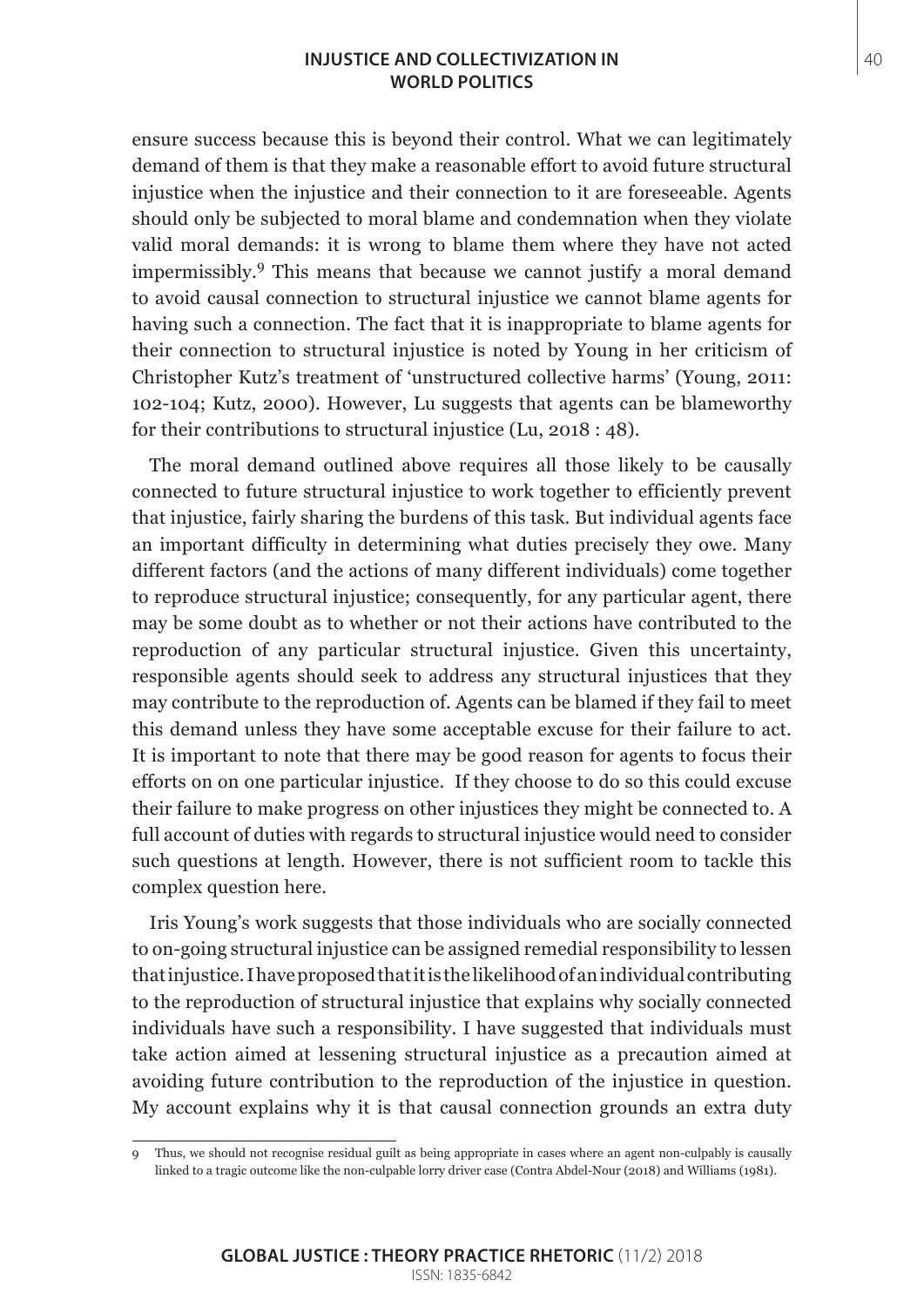#### **INJUSTICE AND COLLECTIVIZATION IN** 40 **WORLD POLITICS**

ensure success because this is beyond their control. What we can legitimately demand of them is that they make a reasonable effort to avoid future structural injustice when the injustice and their connection to it are foreseeable. Agents should only be subjected to moral blame and condemnation when they violate valid moral demands: it is wrong to blame them where they have not acted impermissibly.9 This means that because we cannot justify a moral demand to avoid causal connection to structural injustice we cannot blame agents for having such a connection. The fact that it is inappropriate to blame agents for their connection to structural injustice is noted by Young in her criticism of Christopher Kutz's treatment of 'unstructured collective harms' (Young, 2011: 102-104; Kutz, 2000). However, Lu suggests that agents can be blameworthy for their contributions to structural injustice (Lu, 2018 : 48).

The moral demand outlined above requires all those likely to be causally connected to future structural injustice to work together to efficiently prevent that injustice, fairly sharing the burdens of this task. But individual agents face an important difficulty in determining what duties precisely they owe. Many different factors (and the actions of many different individuals) come together to reproduce structural injustice; consequently, for any particular agent, there may be some doubt as to whether or not their actions have contributed to the reproduction of any particular structural injustice. Given this uncertainty, responsible agents should seek to address any structural injustices that they may contribute to the reproduction of. Agents can be blamed if they fail to meet this demand unless they have some acceptable excuse for their failure to act. It is important to note that there may be good reason for agents to focus their efforts on on one particular injustice. If they choose to do so this could excuse their failure to make progress on other injustices they might be connected to. A full account of duties with regards to structural injustice would need to consider such questions at length. However, there is not sufficient room to tackle this complex question here.

Iris Young's work suggests that those individuals who are socially connected to on-going structural injustice can be assigned remedial responsibility to lessen that injustice. I have proposed that it is the likelihood of an individual contributing to the reproduction of structural injustice that explains why socially connected individuals have such a responsibility. I have suggested that individuals must take action aimed at lessening structural injustice as a precaution aimed at avoiding future contribution to the reproduction of the injustice in question. My account explains why it is that causal connection grounds an extra duty

<sup>9</sup> Thus, we should not recognise residual guilt as being appropriate in cases where an agent non-culpably is causally linked to a tragic outcome like the non-culpable lorry driver case (Contra Abdel-Nour (2018) and Williams (1981).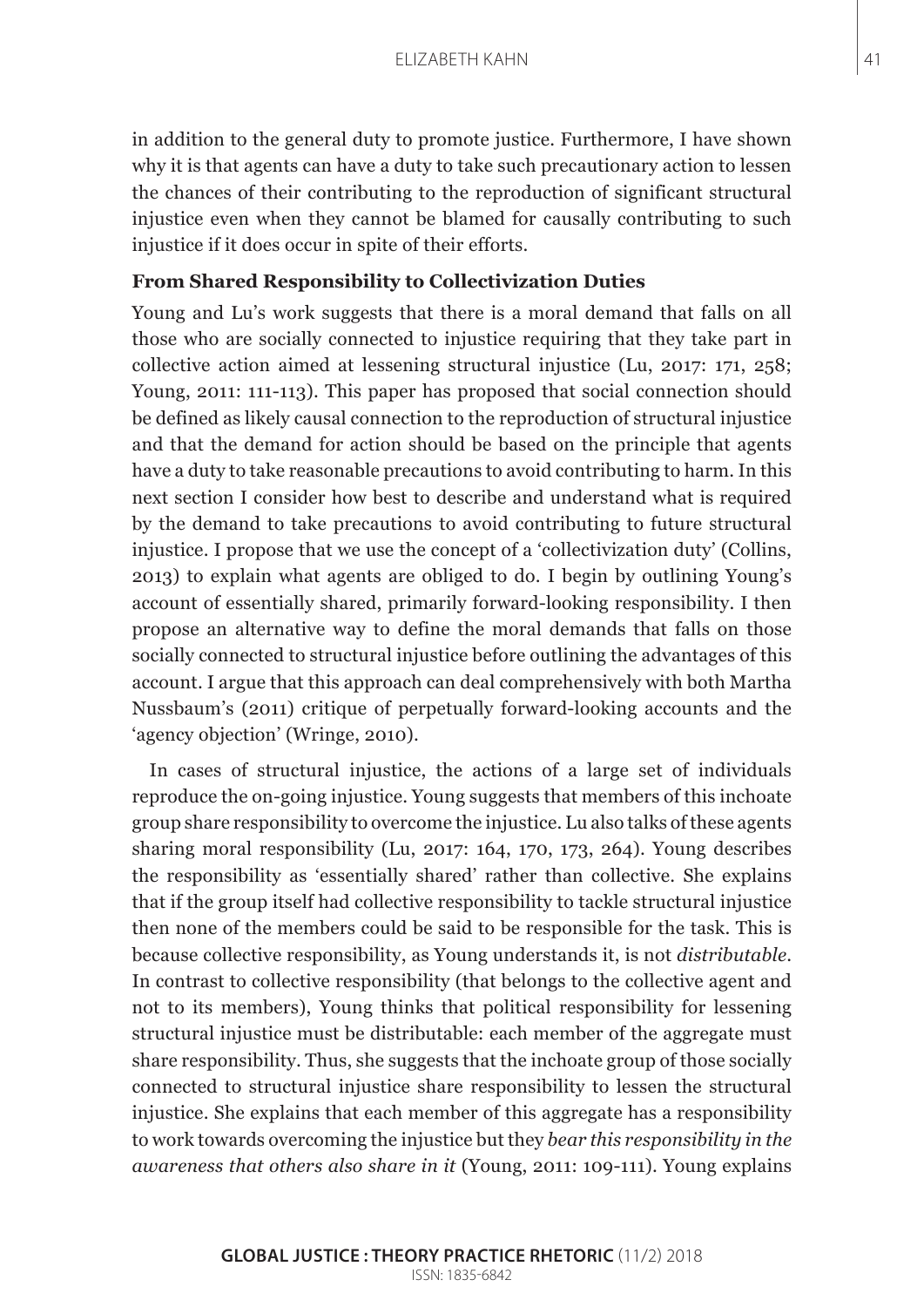in addition to the general duty to promote justice. Furthermore, I have shown why it is that agents can have a duty to take such precautionary action to lessen the chances of their contributing to the reproduction of significant structural injustice even when they cannot be blamed for causally contributing to such injustice if it does occur in spite of their efforts.

# **From Shared Responsibility to Collectivization Duties**

Young and Lu's work suggests that there is a moral demand that falls on all those who are socially connected to injustice requiring that they take part in collective action aimed at lessening structural injustice (Lu, 2017: 171, 258; Young, 2011: 111-113). This paper has proposed that social connection should be defined as likely causal connection to the reproduction of structural injustice and that the demand for action should be based on the principle that agents have a duty to take reasonable precautions to avoid contributing to harm. In this next section I consider how best to describe and understand what is required by the demand to take precautions to avoid contributing to future structural injustice. I propose that we use the concept of a 'collectivization duty' (Collins, 2013) to explain what agents are obliged to do. I begin by outlining Young's account of essentially shared, primarily forward-looking responsibility. I then propose an alternative way to define the moral demands that falls on those socially connected to structural injustice before outlining the advantages of this account. I argue that this approach can deal comprehensively with both Martha Nussbaum's (2011) critique of perpetually forward-looking accounts and the 'agency objection' (Wringe, 2010).

In cases of structural injustice, the actions of a large set of individuals reproduce the on-going injustice. Young suggests that members of this inchoate group share responsibility to overcome the injustice. Lu also talks of these agents sharing moral responsibility (Lu, 2017: 164, 170, 173, 264). Young describes the responsibility as 'essentially shared' rather than collective. She explains that if the group itself had collective responsibility to tackle structural injustice then none of the members could be said to be responsible for the task. This is because collective responsibility, as Young understands it, is not *distributable*. In contrast to collective responsibility (that belongs to the collective agent and not to its members), Young thinks that political responsibility for lessening structural injustice must be distributable: each member of the aggregate must share responsibility. Thus, she suggests that the inchoate group of those socially connected to structural injustice share responsibility to lessen the structural injustice. She explains that each member of this aggregate has a responsibility to work towards overcoming the injustice but they *bear this responsibility in the awareness that others also share in it* (Young, 2011: 109-111). Young explains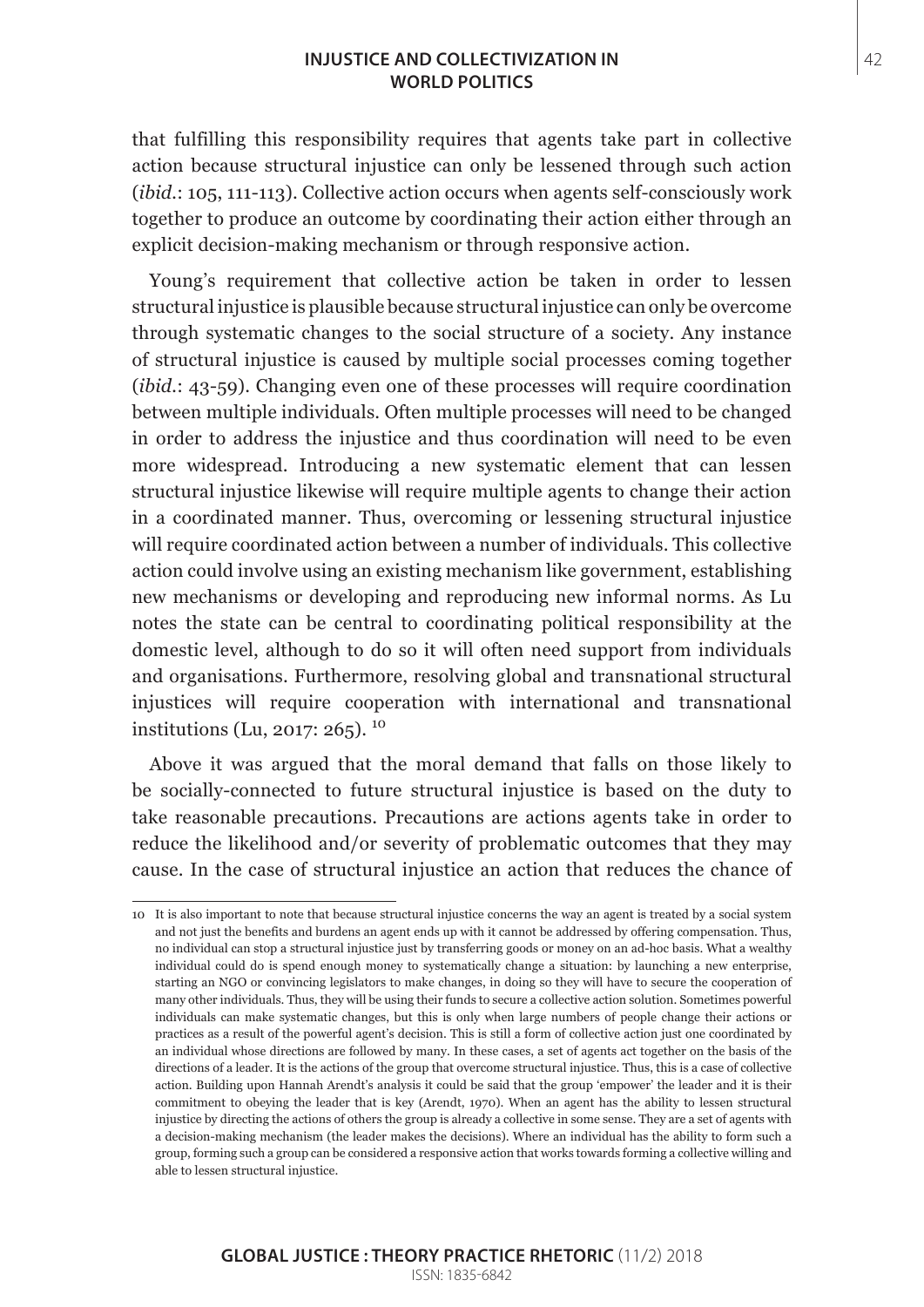### **INJUSTICE AND COLLECTIVIZATION IN** 42 **WORLD POLITICS**

that fulfilling this responsibility requires that agents take part in collective action because structural injustice can only be lessened through such action (*ibid.*: 105, 111-113). Collective action occurs when agents self-consciously work together to produce an outcome by coordinating their action either through an explicit decision-making mechanism or through responsive action.

Young's requirement that collective action be taken in order to lessen structural injustice is plausible because structural injustice can only be overcome through systematic changes to the social structure of a society. Any instance of structural injustice is caused by multiple social processes coming together (*ibid.*: 43-59). Changing even one of these processes will require coordination between multiple individuals. Often multiple processes will need to be changed in order to address the injustice and thus coordination will need to be even more widespread. Introducing a new systematic element that can lessen structural injustice likewise will require multiple agents to change their action in a coordinated manner. Thus, overcoming or lessening structural injustice will require coordinated action between a number of individuals. This collective action could involve using an existing mechanism like government, establishing new mechanisms or developing and reproducing new informal norms. As Lu notes the state can be central to coordinating political responsibility at the domestic level, although to do so it will often need support from individuals and organisations. Furthermore, resolving global and transnational structural injustices will require cooperation with international and transnational institutions (Lu, 2017: 265). <sup>10</sup>

Above it was argued that the moral demand that falls on those likely to be socially-connected to future structural injustice is based on the duty to take reasonable precautions. Precautions are actions agents take in order to reduce the likelihood and/or severity of problematic outcomes that they may cause. In the case of structural injustice an action that reduces the chance of

<sup>10</sup> It is also important to note that because structural injustice concerns the way an agent is treated by a social system and not just the benefits and burdens an agent ends up with it cannot be addressed by offering compensation. Thus, no individual can stop a structural injustice just by transferring goods or money on an ad-hoc basis. What a wealthy individual could do is spend enough money to systematically change a situation: by launching a new enterprise, starting an NGO or convincing legislators to make changes, in doing so they will have to secure the cooperation of many other individuals. Thus, they will be using their funds to secure a collective action solution. Sometimes powerful individuals can make systematic changes, but this is only when large numbers of people change their actions or practices as a result of the powerful agent's decision. This is still a form of collective action just one coordinated by an individual whose directions are followed by many. In these cases, a set of agents act together on the basis of the directions of a leader. It is the actions of the group that overcome structural injustice. Thus, this is a case of collective action. Building upon Hannah Arendt's analysis it could be said that the group 'empower' the leader and it is their commitment to obeying the leader that is key (Arendt, 1970). When an agent has the ability to lessen structural injustice by directing the actions of others the group is already a collective in some sense. They are a set of agents with a decision-making mechanism (the leader makes the decisions). Where an individual has the ability to form such a group, forming such a group can be considered a responsive action that works towards forming a collective willing and able to lessen structural injustice.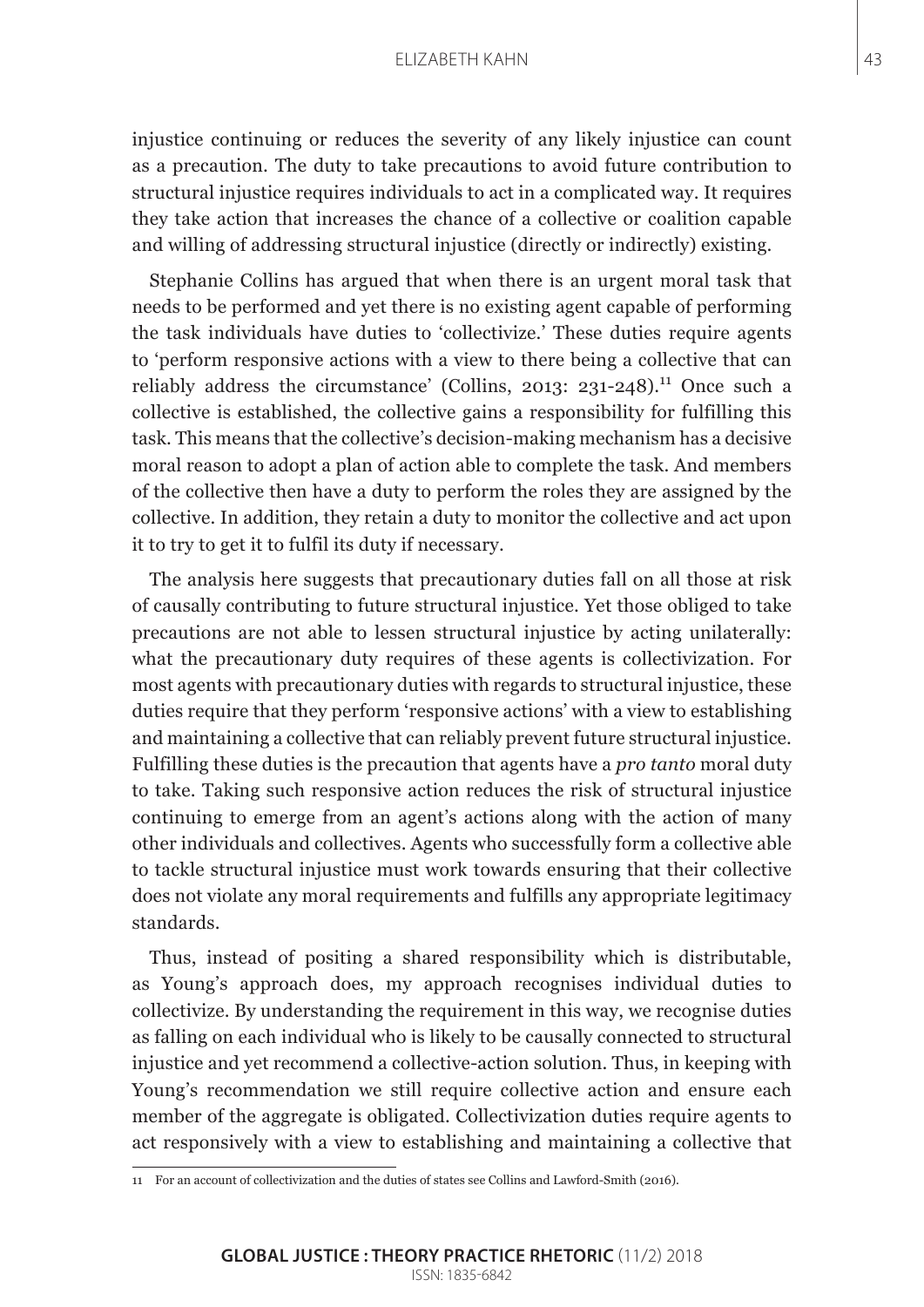#### ELIZABETH KAHN 43

injustice continuing or reduces the severity of any likely injustice can count as a precaution. The duty to take precautions to avoid future contribution to structural injustice requires individuals to act in a complicated way. It requires they take action that increases the chance of a collective or coalition capable and willing of addressing structural injustice (directly or indirectly) existing.

Stephanie Collins has argued that when there is an urgent moral task that needs to be performed and yet there is no existing agent capable of performing the task individuals have duties to 'collectivize.' These duties require agents to 'perform responsive actions with a view to there being a collective that can reliably address the circumstance' (Collins, 2013: 231-248).<sup>11</sup> Once such a collective is established, the collective gains a responsibility for fulfilling this task. This means that the collective's decision-making mechanism has a decisive moral reason to adopt a plan of action able to complete the task. And members of the collective then have a duty to perform the roles they are assigned by the collective. In addition, they retain a duty to monitor the collective and act upon it to try to get it to fulfil its duty if necessary.

The analysis here suggests that precautionary duties fall on all those at risk of causally contributing to future structural injustice. Yet those obliged to take precautions are not able to lessen structural injustice by acting unilaterally: what the precautionary duty requires of these agents is collectivization. For most agents with precautionary duties with regards to structural injustice, these duties require that they perform 'responsive actions' with a view to establishing and maintaining a collective that can reliably prevent future structural injustice. Fulfilling these duties is the precaution that agents have a *pro tanto* moral duty to take. Taking such responsive action reduces the risk of structural injustice continuing to emerge from an agent's actions along with the action of many other individuals and collectives. Agents who successfully form a collective able to tackle structural injustice must work towards ensuring that their collective does not violate any moral requirements and fulfills any appropriate legitimacy standards.

Thus, instead of positing a shared responsibility which is distributable, as Young's approach does, my approach recognises individual duties to collectivize. By understanding the requirement in this way, we recognise duties as falling on each individual who is likely to be causally connected to structural injustice and yet recommend a collective-action solution. Thus, in keeping with Young's recommendation we still require collective action and ensure each member of the aggregate is obligated. Collectivization duties require agents to act responsively with a view to establishing and maintaining a collective that

<sup>11</sup> For an account of collectivization and the duties of states see Collins and Lawford-Smith (2016).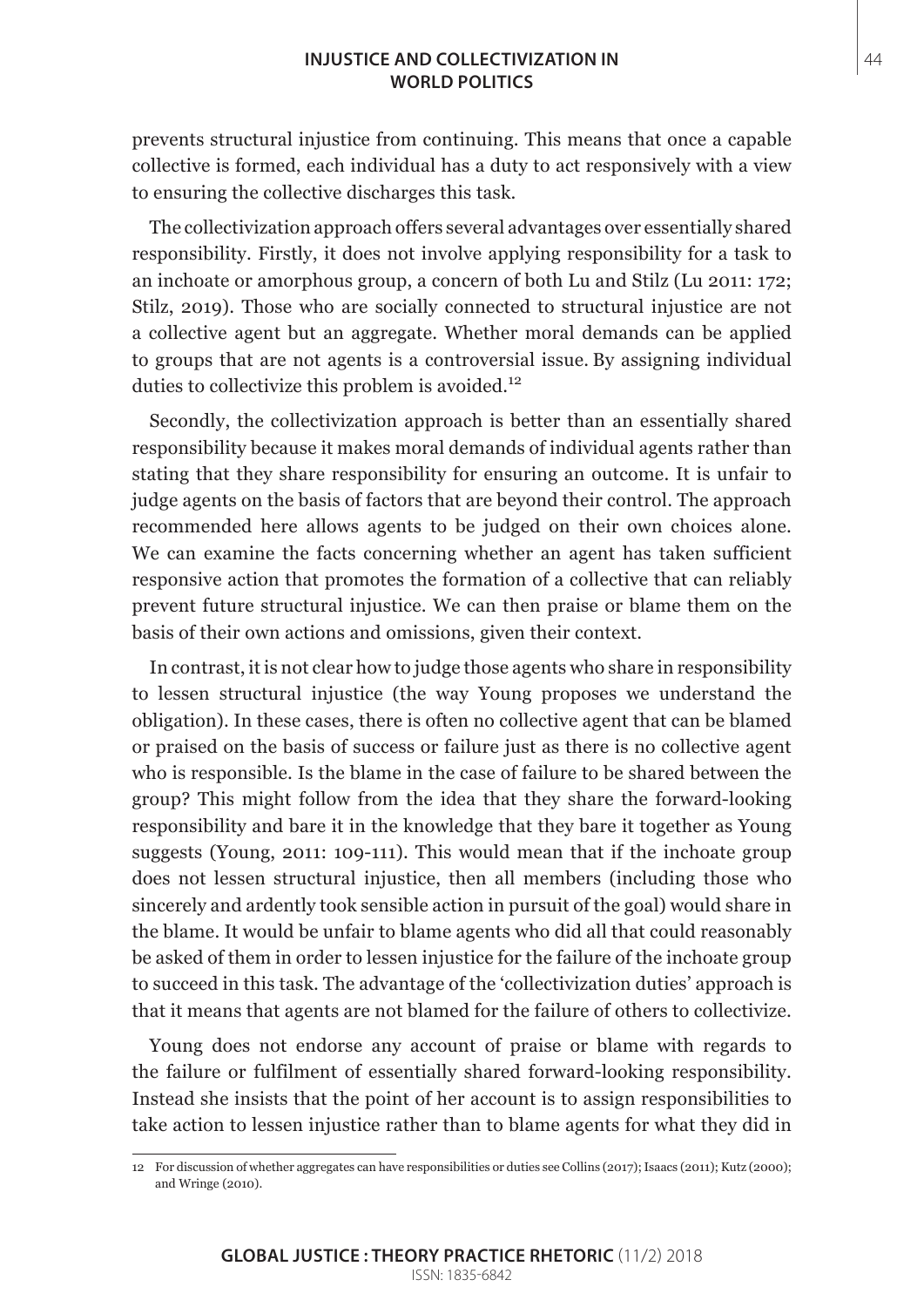#### **INJUSTICE AND COLLECTIVIZATION IN** 44 **WORLD POLITICS**

prevents structural injustice from continuing. This means that once a capable collective is formed, each individual has a duty to act responsively with a view to ensuring the collective discharges this task.

The collectivization approach offers several advantages over essentially shared responsibility. Firstly, it does not involve applying responsibility for a task to an inchoate or amorphous group, a concern of both Lu and Stilz (Lu 2011: 172; Stilz, 2019). Those who are socially connected to structural injustice are not a collective agent but an aggregate. Whether moral demands can be applied to groups that are not agents is a controversial issue. By assigning individual duties to collectivize this problem is avoided.<sup>12</sup>

Secondly, the collectivization approach is better than an essentially shared responsibility because it makes moral demands of individual agents rather than stating that they share responsibility for ensuring an outcome. It is unfair to judge agents on the basis of factors that are beyond their control. The approach recommended here allows agents to be judged on their own choices alone. We can examine the facts concerning whether an agent has taken sufficient responsive action that promotes the formation of a collective that can reliably prevent future structural injustice. We can then praise or blame them on the basis of their own actions and omissions, given their context.

In contrast, it is not clear how to judge those agents who share in responsibility to lessen structural injustice (the way Young proposes we understand the obligation). In these cases, there is often no collective agent that can be blamed or praised on the basis of success or failure just as there is no collective agent who is responsible. Is the blame in the case of failure to be shared between the group? This might follow from the idea that they share the forward-looking responsibility and bare it in the knowledge that they bare it together as Young suggests (Young, 2011: 109-111). This would mean that if the inchoate group does not lessen structural injustice, then all members (including those who sincerely and ardently took sensible action in pursuit of the goal) would share in the blame. It would be unfair to blame agents who did all that could reasonably be asked of them in order to lessen injustice for the failure of the inchoate group to succeed in this task. The advantage of the 'collectivization duties' approach is that it means that agents are not blamed for the failure of others to collectivize.

Young does not endorse any account of praise or blame with regards to the failure or fulfilment of essentially shared forward-looking responsibility. Instead she insists that the point of her account is to assign responsibilities to take action to lessen injustice rather than to blame agents for what they did in

<sup>12</sup> For discussion of whether aggregates can have responsibilities or duties see Collins (2017); Isaacs (2011); Kutz (2000); and Wringe (2010).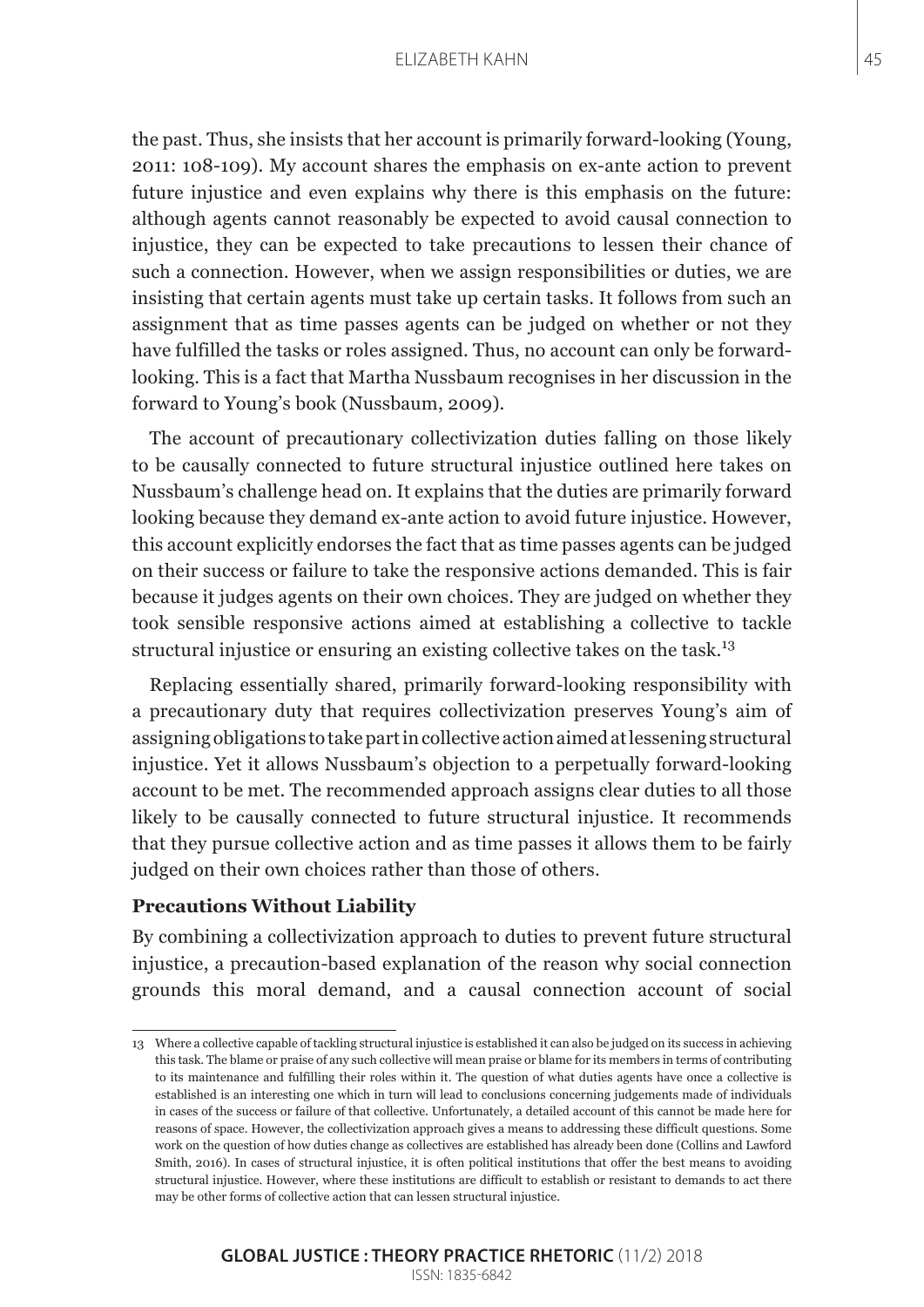#### ELIZABETH KAHN 45

the past. Thus, she insists that her account is primarily forward-looking (Young, 2011: 108-109). My account shares the emphasis on ex-ante action to prevent future injustice and even explains why there is this emphasis on the future: although agents cannot reasonably be expected to avoid causal connection to injustice, they can be expected to take precautions to lessen their chance of such a connection. However, when we assign responsibilities or duties, we are insisting that certain agents must take up certain tasks. It follows from such an assignment that as time passes agents can be judged on whether or not they have fulfilled the tasks or roles assigned. Thus, no account can only be forwardlooking. This is a fact that Martha Nussbaum recognises in her discussion in the forward to Young's book (Nussbaum, 2009).

The account of precautionary collectivization duties falling on those likely to be causally connected to future structural injustice outlined here takes on Nussbaum's challenge head on. It explains that the duties are primarily forward looking because they demand ex-ante action to avoid future injustice. However, this account explicitly endorses the fact that as time passes agents can be judged on their success or failure to take the responsive actions demanded. This is fair because it judges agents on their own choices. They are judged on whether they took sensible responsive actions aimed at establishing a collective to tackle structural injustice or ensuring an existing collective takes on the task.<sup>13</sup>

Replacing essentially shared, primarily forward-looking responsibility with a precautionary duty that requires collectivization preserves Young's aim of assigning obligations to take part in collective action aimed at lessening structural injustice. Yet it allows Nussbaum's objection to a perpetually forward-looking account to be met. The recommended approach assigns clear duties to all those likely to be causally connected to future structural injustice. It recommends that they pursue collective action and as time passes it allows them to be fairly judged on their own choices rather than those of others.

#### **Precautions Without Liability**

By combining a collectivization approach to duties to prevent future structural injustice, a precaution-based explanation of the reason why social connection grounds this moral demand, and a causal connection account of social

#### **GLOBAL JUSTICE : THEORY PRACTICE RHETORIC** (11/2) 2018 ISSN: 1835-6842

<sup>13</sup> Where a collective capable of tackling structural injustice is established it can also be judged on its success in achieving this task. The blame or praise of any such collective will mean praise or blame for its members in terms of contributing to its maintenance and fulfilling their roles within it. The question of what duties agents have once a collective is established is an interesting one which in turn will lead to conclusions concerning judgements made of individuals in cases of the success or failure of that collective. Unfortunately, a detailed account of this cannot be made here for reasons of space. However, the collectivization approach gives a means to addressing these difficult questions. Some work on the question of how duties change as collectives are established has already been done (Collins and Lawford Smith, 2016). In cases of structural injustice, it is often political institutions that offer the best means to avoiding structural injustice. However, where these institutions are difficult to establish or resistant to demands to act there may be other forms of collective action that can lessen structural injustice.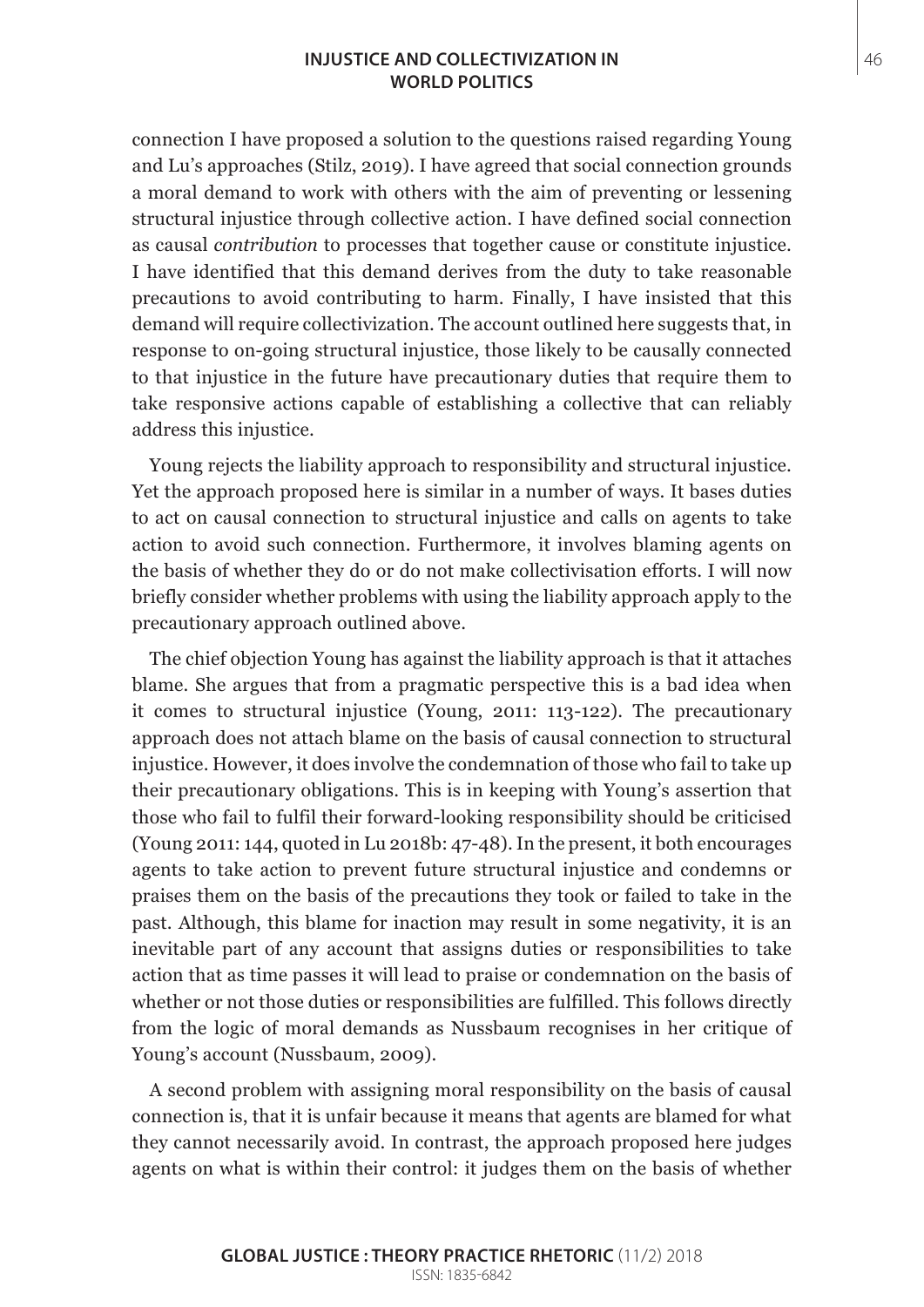#### **INJUSTICE AND COLLECTIVIZATION IN** 46 **WORLD POLITICS**

connection I have proposed a solution to the questions raised regarding Young and Lu's approaches (Stilz, 2019). I have agreed that social connection grounds a moral demand to work with others with the aim of preventing or lessening structural injustice through collective action. I have defined social connection as causal *contribution* to processes that together cause or constitute injustice. I have identified that this demand derives from the duty to take reasonable precautions to avoid contributing to harm. Finally, I have insisted that this demand will require collectivization. The account outlined here suggests that, in response to on-going structural injustice, those likely to be causally connected to that injustice in the future have precautionary duties that require them to take responsive actions capable of establishing a collective that can reliably address this injustice.

Young rejects the liability approach to responsibility and structural injustice. Yet the approach proposed here is similar in a number of ways. It bases duties to act on causal connection to structural injustice and calls on agents to take action to avoid such connection. Furthermore, it involves blaming agents on the basis of whether they do or do not make collectivisation efforts. I will now briefly consider whether problems with using the liability approach apply to the precautionary approach outlined above.

The chief objection Young has against the liability approach is that it attaches blame. She argues that from a pragmatic perspective this is a bad idea when it comes to structural injustice (Young, 2011: 113-122). The precautionary approach does not attach blame on the basis of causal connection to structural injustice. However, it does involve the condemnation of those who fail to take up their precautionary obligations. This is in keeping with Young's assertion that those who fail to fulfil their forward-looking responsibility should be criticised (Young 2011: 144, quoted in Lu 2018b: 47-48). In the present, it both encourages agents to take action to prevent future structural injustice and condemns or praises them on the basis of the precautions they took or failed to take in the past. Although, this blame for inaction may result in some negativity, it is an inevitable part of any account that assigns duties or responsibilities to take action that as time passes it will lead to praise or condemnation on the basis of whether or not those duties or responsibilities are fulfilled. This follows directly from the logic of moral demands as Nussbaum recognises in her critique of Young's account (Nussbaum, 2009).

A second problem with assigning moral responsibility on the basis of causal connection is, that it is unfair because it means that agents are blamed for what they cannot necessarily avoid. In contrast, the approach proposed here judges agents on what is within their control: it judges them on the basis of whether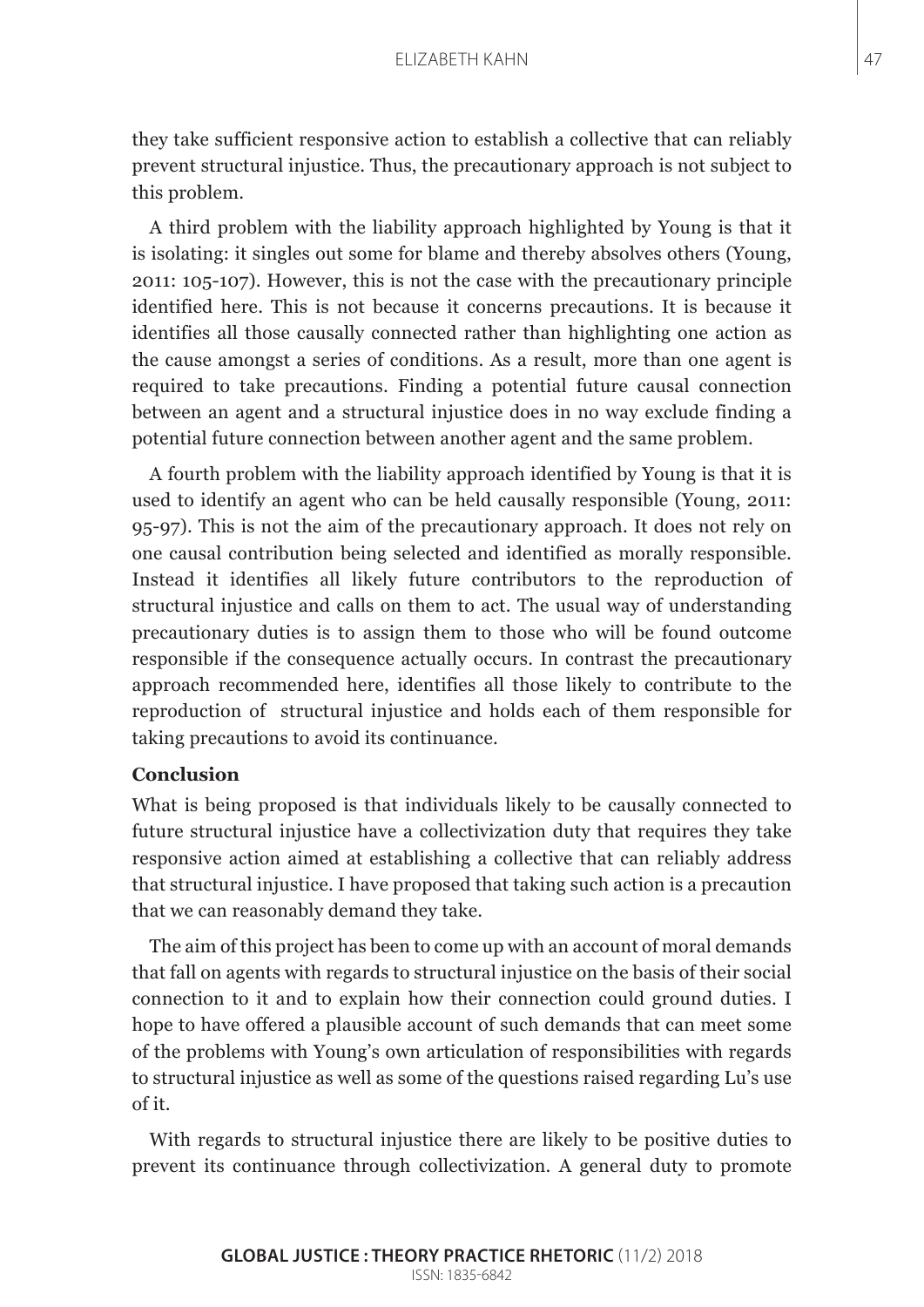they take sufficient responsive action to establish a collective that can reliably prevent structural injustice. Thus, the precautionary approach is not subject to this problem.

A third problem with the liability approach highlighted by Young is that it is isolating: it singles out some for blame and thereby absolves others (Young, 2011: 105-107). However, this is not the case with the precautionary principle identified here. This is not because it concerns precautions. It is because it identifies all those causally connected rather than highlighting one action as the cause amongst a series of conditions. As a result, more than one agent is required to take precautions. Finding a potential future causal connection between an agent and a structural injustice does in no way exclude finding a potential future connection between another agent and the same problem.

A fourth problem with the liability approach identified by Young is that it is used to identify an agent who can be held causally responsible (Young, 2011: 95-97). This is not the aim of the precautionary approach. It does not rely on one causal contribution being selected and identified as morally responsible. Instead it identifies all likely future contributors to the reproduction of structural injustice and calls on them to act. The usual way of understanding precautionary duties is to assign them to those who will be found outcome responsible if the consequence actually occurs. In contrast the precautionary approach recommended here, identifies all those likely to contribute to the reproduction of structural injustice and holds each of them responsible for taking precautions to avoid its continuance.

# **Conclusion**

What is being proposed is that individuals likely to be causally connected to future structural injustice have a collectivization duty that requires they take responsive action aimed at establishing a collective that can reliably address that structural injustice. I have proposed that taking such action is a precaution that we can reasonably demand they take.

The aim of this project has been to come up with an account of moral demands that fall on agents with regards to structural injustice on the basis of their social connection to it and to explain how their connection could ground duties. I hope to have offered a plausible account of such demands that can meet some of the problems with Young's own articulation of responsibilities with regards to structural injustice as well as some of the questions raised regarding Lu's use of it.

With regards to structural injustice there are likely to be positive duties to prevent its continuance through collectivization. A general duty to promote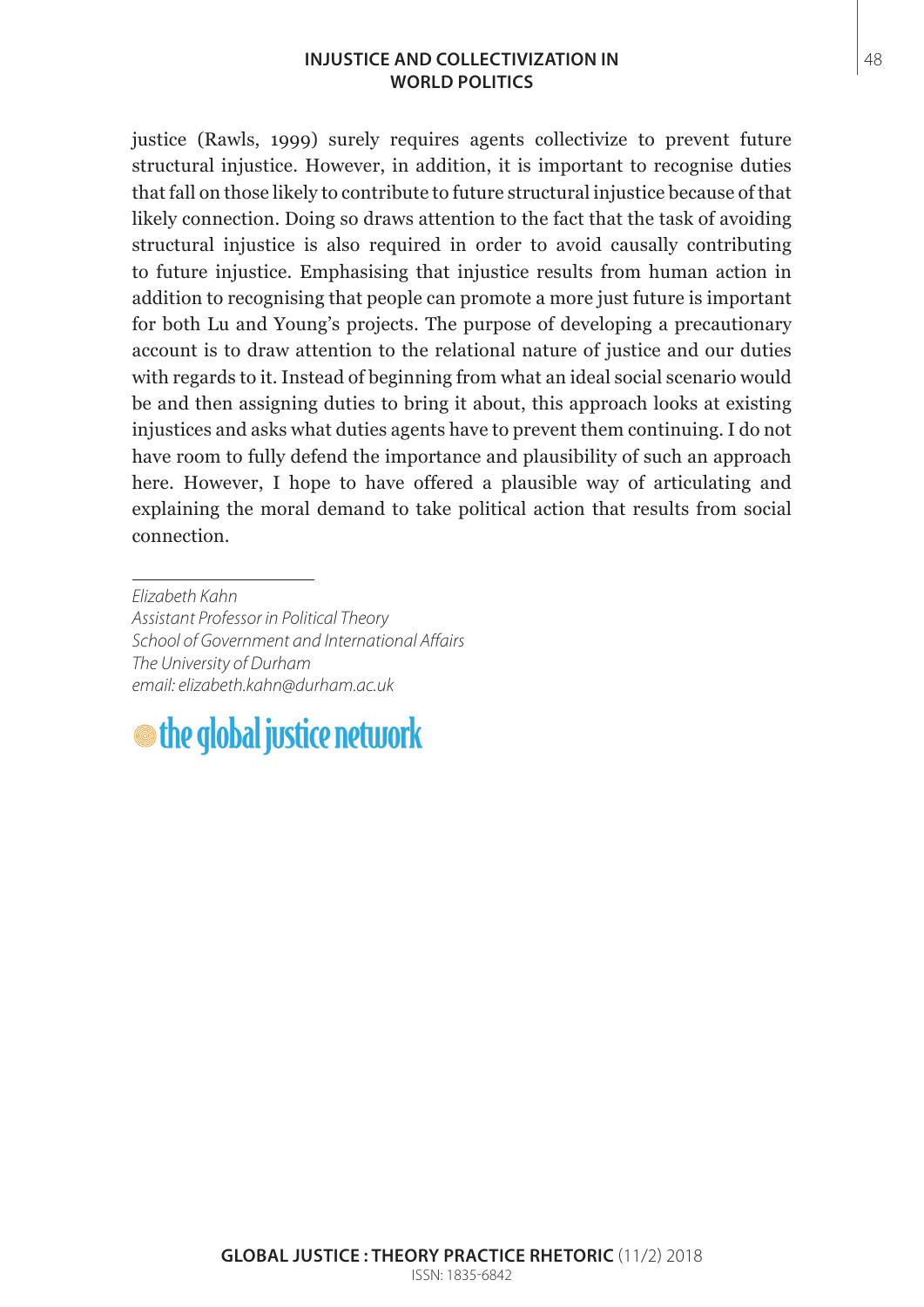# **INJUSTICE AND COLLECTIVIZATION IN** 48 **WORLD POLITICS**

justice (Rawls, 1999) surely requires agents collectivize to prevent future structural injustice. However, in addition, it is important to recognise duties that fall on those likely to contribute to future structural injustice because of that likely connection. Doing so draws attention to the fact that the task of avoiding structural injustice is also required in order to avoid causally contributing to future injustice. Emphasising that injustice results from human action in addition to recognising that people can promote a more just future is important for both Lu and Young's projects. The purpose of developing a precautionary account is to draw attention to the relational nature of justice and our duties with regards to it. Instead of beginning from what an ideal social scenario would be and then assigning duties to bring it about, this approach looks at existing injustices and asks what duties agents have to prevent them continuing. I do not have room to fully defend the importance and plausibility of such an approach here. However, I hope to have offered a plausible way of articulating and explaining the moral demand to take political action that results from social connection.

*Elizabeth Kahn Assistant Professor in Political Theory School of Government and International Affairs The University of Durham email: [elizabeth.kahn@durham.ac.uk](mailto:elizabeth.kahn@durham.ac.uk)*

# the global justice network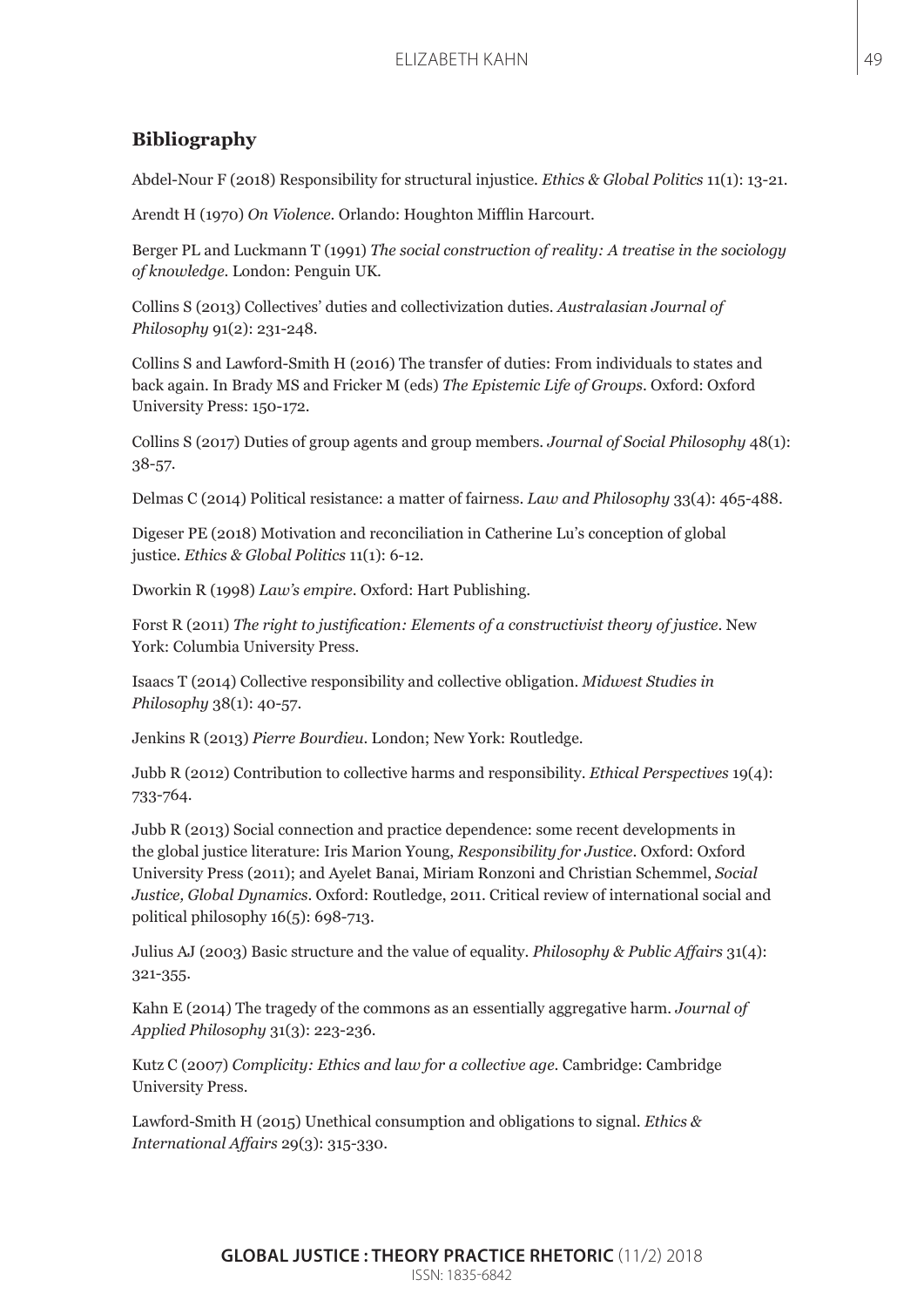# **Bibliography**

Abdel-Nour F (2018) Responsibility for structural injustice. *Ethics & Global Politics* 11(1): 13-21.

Arendt H (1970) *On Violence*. Orlando: Houghton Mifflin Harcourt.

Berger PL and Luckmann T (1991) *The social construction of reality: A treatise in the sociology of knowledge*. London: Penguin UK.

Collins S (2013) Collectives' duties and collectivization duties. *Australasian Journal of Philosophy* 91(2): 231-248.

Collins S and Lawford-Smith H (2016) The transfer of duties: From individuals to states and back again. In Brady MS and Fricker M (eds) *The Epistemic Life of Groups*. Oxford: Oxford University Press: 150-172.

Collins S (2017) Duties of group agents and group members. *Journal of Social Philosophy* 48(1): 38-57.

Delmas C (2014) Political resistance: a matter of fairness. *Law and Philosophy* 33(4): 465-488.

Digeser PE (2018) Motivation and reconciliation in Catherine Lu's conception of global justice. *Ethics & Global Politics* 11(1): 6-12.

Dworkin R (1998) *Law's empire*. Oxford: Hart Publishing.

Forst R (2011) *The right to justification: Elements of a constructivist theory of justice*. New York: Columbia University Press.

Isaacs T (2014) Collective responsibility and collective obligation. *Midwest Studies in Philosophy* 38(1): 40-57.

Jenkins R (2013) *Pierre Bourdieu*. London; New York: Routledge.

Jubb R (2012) Contribution to collective harms and responsibility. *Ethical Perspectives* 19(4): 733-764.

Jubb R (2013) Social connection and practice dependence: some recent developments in the global justice literature: Iris Marion Young, *Responsibility for Justice*. Oxford: Oxford University Press (2011); and Ayelet Banai, Miriam Ronzoni and Christian Schemmel, *Social Justice, Global Dynamics*. Oxford: Routledge, 2011. Critical review of international social and political philosophy  $16(5)$ : 698-713.

Julius AJ (2003) Basic structure and the value of equality. *Philosophy & Public Affairs* 31(4): 321-355.

Kahn E (2014) The tragedy of the commons as an essentially aggregative harm. *Journal of Applied Philosophy* 31(3): 223-236.

Kutz C (2007) *Complicity: Ethics and law for a collective age*. Cambridge: Cambridge University Press.

Lawford-Smith H (2015) Unethical consumption and obligations to signal. *Ethics & International Affairs* 29(3): 315-330.